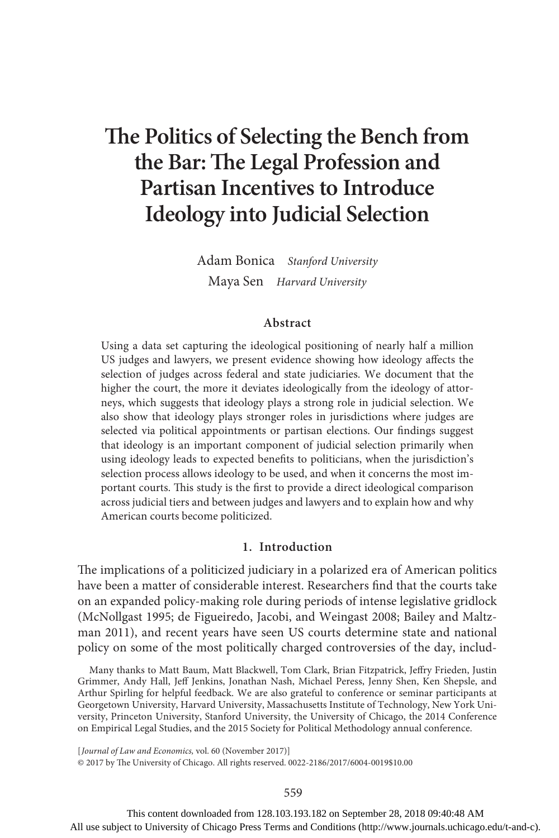# **The Politics of Selecting the Bench from the Bar: The Legal Profession and Partisan Incentives to Introduce Ideology into Judicial Selection**

Adam Bonica *Stanford University* Maya Sen *Harvard University*

## **Abstract**

Using a data set capturing the ideological positioning of nearly half a million US judges and lawyers, we present evidence showing how ideology affects the selection of judges across federal and state judiciaries. We document that the higher the court, the more it deviates ideologically from the ideology of attorneys, which suggests that ideology plays a strong role in judicial selection. We also show that ideology plays stronger roles in jurisdictions where judges are selected via political appointments or partisan elections. Our findings suggest that ideology is an important component of judicial selection primarily when using ideology leads to expected benefits to politicians, when the jurisdiction's selection process allows ideology to be used, and when it concerns the most important courts. This study is the first to provide a direct ideological comparison across judicial tiers and between judges and lawyers and to explain how and why American courts become politicized.

#### **1. Introduction**

The implications of a politicized judiciary in a polarized era of American politics have been a matter of considerable interest. Researchers find that the courts take on an expanded policy-making role during periods of intense legislative gridlock (McNollgast 1995; de Figueiredo, Jacobi, and Weingast 2008; Bailey and Maltzman 2011), and recent years have seen US courts determine state and national policy on some of the most politically charged controversies of the day, includ-

Many thanks to Matt Baum, Matt Blackwell, Tom Clark, Brian Fitzpatrick, Jeffry Frieden, Justin Grimmer, Andy Hall, Jeff Jenkins, Jonathan Nash, Michael Peress, Jenny Shen, Ken Shepsle, and Arthur Spirling for helpful feedback. We are also grateful to conference or seminar participants at Georgetown University, Harvard University, Massachusetts Institute of Technology, New York University, Princeton University, Stanford University, the University of Chicago, the 2014 Conference on Empirical Legal Studies, and the 2015 Society for Political Methodology annual conference.

[*Journal of Law and Economics*, vol. 60 (November 2017)] © 2017 by The University of Chicago. All rights reserved. 0022-2186/2017/6004-0019\$10.00

This content downloaded from 128.103.193.182 on September 28, 2018 09:40:48 AM All use subject to University of Chicago Press Terms and Conditions (http://www.journals.uchicago.edu/t-and-c).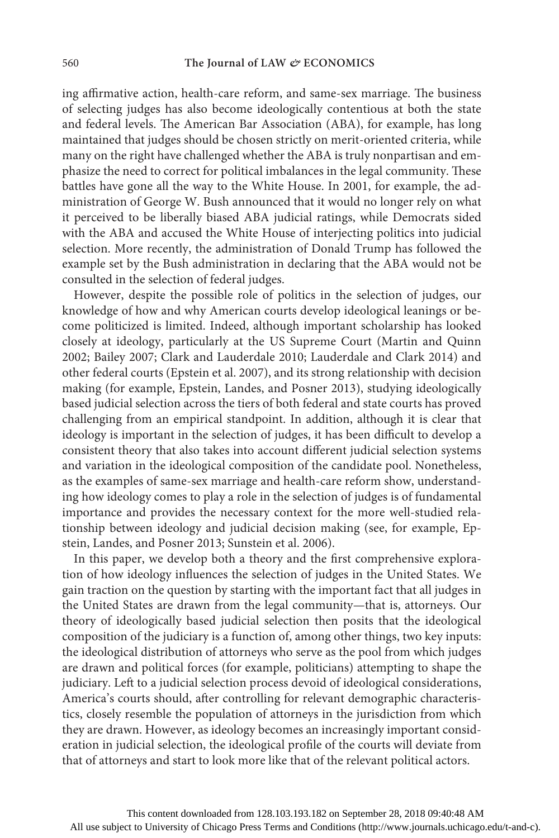ing affirmative action, health-care reform, and same-sex marriage. The business of selecting judges has also become ideologically contentious at both the state and federal levels. The American Bar Association (ABA), for example, has long maintained that judges should be chosen strictly on merit-oriented criteria, while many on the right have challenged whether the ABA is truly nonpartisan and emphasize the need to correct for political imbalances in the legal community. These battles have gone all the way to the White House. In 2001, for example, the administration of George W. Bush announced that it would no longer rely on what it perceived to be liberally biased ABA judicial ratings, while Democrats sided with the ABA and accused the White House of interjecting politics into judicial selection. More recently, the administration of Donald Trump has followed the example set by the Bush administration in declaring that the ABA would not be consulted in the selection of federal judges.

However, despite the possible role of politics in the selection of judges, our knowledge of how and why American courts develop ideological leanings or become politicized is limited. Indeed, although important scholarship has looked closely at ideology, particularly at the US Supreme Court (Martin and Quinn 2002; Bailey 2007; Clark and Lauderdale 2010; Lauderdale and Clark 2014) and other federal courts (Epstein et al. 2007), and its strong relationship with decision making (for example, Epstein, Landes, and Posner 2013), studying ideologically based judicial selection across the tiers of both federal and state courts has proved challenging from an empirical standpoint. In addition, although it is clear that ideology is important in the selection of judges, it has been difficult to develop a consistent theory that also takes into account different judicial selection systems and variation in the ideological composition of the candidate pool. Nonetheless, as the examples of same-sex marriage and health-care reform show, understanding how ideology comes to play a role in the selection of judges is of fundamental importance and provides the necessary context for the more well-studied relationship between ideology and judicial decision making (see, for example, Epstein, Landes, and Posner 2013; Sunstein et al. 2006).

In this paper, we develop both a theory and the first comprehensive exploration of how ideology influences the selection of judges in the United States. We gain traction on the question by starting with the important fact that all judges in the United States are drawn from the legal community—that is, attorneys. Our theory of ideologically based judicial selection then posits that the ideological composition of the judiciary is a function of, among other things, two key inputs: the ideological distribution of attorneys who serve as the pool from which judges are drawn and political forces (for example, politicians) attempting to shape the judiciary. Left to a judicial selection process devoid of ideological considerations, America's courts should, after controlling for relevant demographic characteristics, closely resemble the population of attorneys in the jurisdiction from which they are drawn. However, as ideology becomes an increasingly important consideration in judicial selection, the ideological profile of the courts will deviate from that of attorneys and start to look more like that of the relevant political actors.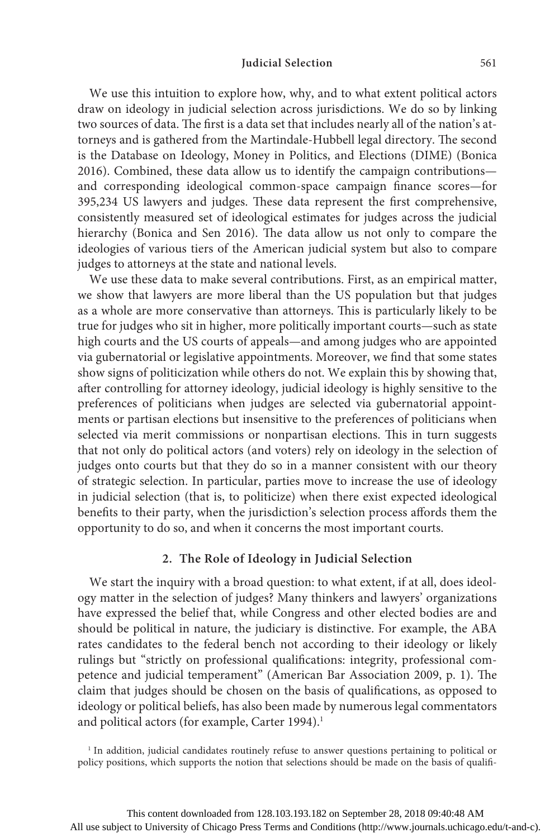#### **Judicial Selection** 561

We use this intuition to explore how, why, and to what extent political actors draw on ideology in judicial selection across jurisdictions. We do so by linking two sources of data. The first is a data set that includes nearly all of the nation's attorneys and is gathered from the Martindale-Hubbell legal directory. The second is the Database on Ideology, Money in Politics, and Elections (DIME) (Bonica 2016). Combined, these data allow us to identify the campaign contributions and corresponding ideological common-space campaign finance scores—for 395,234 US lawyers and judges. These data represent the first comprehensive, consistently measured set of ideological estimates for judges across the judicial hierarchy (Bonica and Sen 2016). The data allow us not only to compare the ideologies of various tiers of the American judicial system but also to compare judges to attorneys at the state and national levels.

We use these data to make several contributions. First, as an empirical matter, we show that lawyers are more liberal than the US population but that judges as a whole are more conservative than attorneys. This is particularly likely to be true for judges who sit in higher, more politically important courts—such as state high courts and the US courts of appeals—and among judges who are appointed via gubernatorial or legislative appointments. Moreover, we find that some states show signs of politicization while others do not. We explain this by showing that, after controlling for attorney ideology, judicial ideology is highly sensitive to the preferences of politicians when judges are selected via gubernatorial appointments or partisan elections but insensitive to the preferences of politicians when selected via merit commissions or nonpartisan elections. This in turn suggests that not only do political actors (and voters) rely on ideology in the selection of judges onto courts but that they do so in a manner consistent with our theory of strategic selection. In particular, parties move to increase the use of ideology in judicial selection (that is, to politicize) when there exist expected ideological benefits to their party, when the jurisdiction's selection process affords them the opportunity to do so, and when it concerns the most important courts.

## **2. The Role of Ideology in Judicial Selection**

We start the inquiry with a broad question: to what extent, if at all, does ideology matter in the selection of judges? Many thinkers and lawyers' organizations have expressed the belief that, while Congress and other elected bodies are and should be political in nature, the judiciary is distinctive. For example, the ABA rates candidates to the federal bench not according to their ideology or likely rulings but "strictly on professional qualifications: integrity, professional competence and judicial temperament" (American Bar Association 2009, p. 1). The claim that judges should be chosen on the basis of qualifications, as opposed to ideology or political beliefs, has also been made by numerous legal commentators and political actors (for example, Carter 1994).<sup>1</sup>

<sup>1</sup> In addition, judicial candidates routinely refuse to answer questions pertaining to political or policy positions, which supports the notion that selections should be made on the basis of qualifi-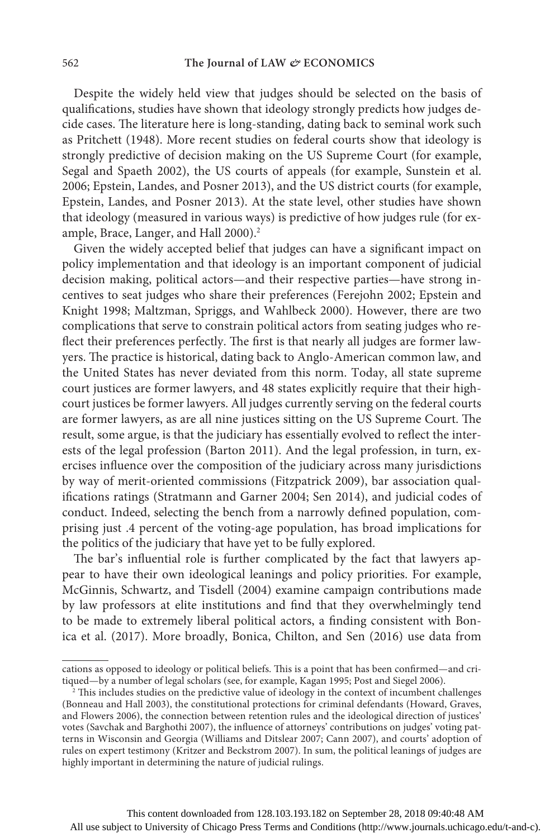Despite the widely held view that judges should be selected on the basis of qualifications, studies have shown that ideology strongly predicts how judges decide cases. The literature here is long-standing, dating back to seminal work such as Pritchett (1948). More recent studies on federal courts show that ideology is strongly predictive of decision making on the US Supreme Court (for example, Segal and Spaeth 2002), the US courts of appeals (for example, Sunstein et al. 2006; Epstein, Landes, and Posner 2013), and the US district courts (for example, Epstein, Landes, and Posner 2013). At the state level, other studies have shown that ideology (measured in various ways) is predictive of how judges rule (for example, Brace, Langer, and Hall 2000).<sup>2</sup>

Given the widely accepted belief that judges can have a significant impact on policy implementation and that ideology is an important component of judicial decision making, political actors—and their respective parties—have strong incentives to seat judges who share their preferences (Ferejohn 2002; Epstein and Knight 1998; Maltzman, Spriggs, and Wahlbeck 2000). However, there are two complications that serve to constrain political actors from seating judges who reflect their preferences perfectly. The first is that nearly all judges are former lawyers. The practice is historical, dating back to Anglo-American common law, and the United States has never deviated from this norm. Today, all state supreme court justices are former lawyers, and 48 states explicitly require that their highcourt justices be former lawyers. All judges currently serving on the federal courts are former lawyers, as are all nine justices sitting on the US Supreme Court. The result, some argue, is that the judiciary has essentially evolved to reflect the interests of the legal profession (Barton 2011). And the legal profession, in turn, exercises influence over the composition of the judiciary across many jurisdictions by way of merit-oriented commissions (Fitzpatrick 2009), bar association qualifications ratings (Stratmann and Garner 2004; Sen 2014), and judicial codes of conduct. Indeed, selecting the bench from a narrowly defined population, comprising just .4 percent of the voting-age population, has broad implications for the politics of the judiciary that have yet to be fully explored.

The bar's influential role is further complicated by the fact that lawyers appear to have their own ideological leanings and policy priorities. For example, McGinnis, Schwartz, and Tisdell (2004) examine campaign contributions made by law professors at elite institutions and find that they overwhelmingly tend to be made to extremely liberal political actors, a finding consistent with Bonica et al. (2017). More broadly, Bonica, Chilton, and Sen (2016) use data from

cations as opposed to ideology or political beliefs. This is a point that has been confirmed—and critiqued—by a number of legal scholars (see, for example, Kagan 1995; Post and Siegel 2006).

<sup>&</sup>lt;sup>2</sup> This includes studies on the predictive value of ideology in the context of incumbent challenges (Bonneau and Hall 2003), the constitutional protections for criminal defendants (Howard, Graves, and Flowers 2006), the connection between retention rules and the ideological direction of justices' votes (Savchak and Barghothi 2007), the influence of attorneys' contributions on judges' voting patterns in Wisconsin and Georgia (Williams and Ditslear 2007; Cann 2007), and courts' adoption of rules on expert testimony (Kritzer and Beckstrom 2007). In sum, the political leanings of judges are highly important in determining the nature of judicial rulings.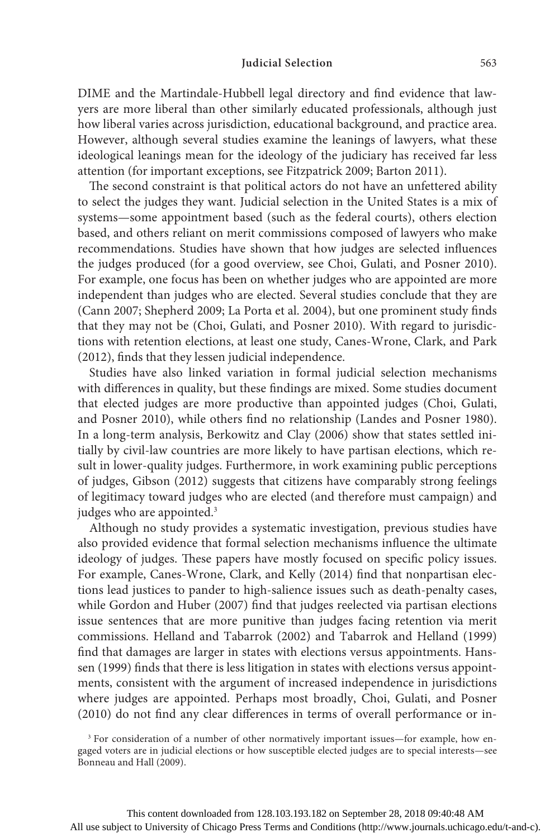#### **Judicial Selection** 563

DIME and the Martindale-Hubbell legal directory and find evidence that lawyers are more liberal than other similarly educated professionals, although just how liberal varies across jurisdiction, educational background, and practice area. However, although several studies examine the leanings of lawyers, what these ideological leanings mean for the ideology of the judiciary has received far less attention (for important exceptions, see Fitzpatrick 2009; Barton 2011).

The second constraint is that political actors do not have an unfettered ability to select the judges they want. Judicial selection in the United States is a mix of systems—some appointment based (such as the federal courts), others election based, and others reliant on merit commissions composed of lawyers who make recommendations. Studies have shown that how judges are selected influences the judges produced (for a good overview, see Choi, Gulati, and Posner 2010). For example, one focus has been on whether judges who are appointed are more independent than judges who are elected. Several studies conclude that they are (Cann 2007; Shepherd 2009; La Porta et al. 2004), but one prominent study finds that they may not be (Choi, Gulati, and Posner 2010). With regard to jurisdictions with retention elections, at least one study, Canes-Wrone, Clark, and Park (2012), finds that they lessen judicial independence.

Studies have also linked variation in formal judicial selection mechanisms with differences in quality, but these findings are mixed. Some studies document that elected judges are more productive than appointed judges (Choi, Gulati, and Posner 2010), while others find no relationship (Landes and Posner 1980). In a long-term analysis, Berkowitz and Clay (2006) show that states settled initially by civil-law countries are more likely to have partisan elections, which result in lower-quality judges. Furthermore, in work examining public perceptions of judges, Gibson (2012) suggests that citizens have comparably strong feelings of legitimacy toward judges who are elected (and therefore must campaign) and judges who are appointed.<sup>3</sup>

Although no study provides a systematic investigation, previous studies have also provided evidence that formal selection mechanisms influence the ultimate ideology of judges. These papers have mostly focused on specific policy issues. For example, Canes-Wrone, Clark, and Kelly (2014) find that nonpartisan elections lead justices to pander to high-salience issues such as death-penalty cases, while Gordon and Huber (2007) find that judges reelected via partisan elections issue sentences that are more punitive than judges facing retention via merit commissions. Helland and Tabarrok (2002) and Tabarrok and Helland (1999) find that damages are larger in states with elections versus appointments. Hanssen (1999) finds that there is less litigation in states with elections versus appointments, consistent with the argument of increased independence in jurisdictions where judges are appointed. Perhaps most broadly, Choi, Gulati, and Posner (2010) do not find any clear differences in terms of overall performance or in-

<sup>3</sup> For consideration of a number of other normatively important issues—for example, how engaged voters are in judicial elections or how susceptible elected judges are to special interests—see Bonneau and Hall (2009).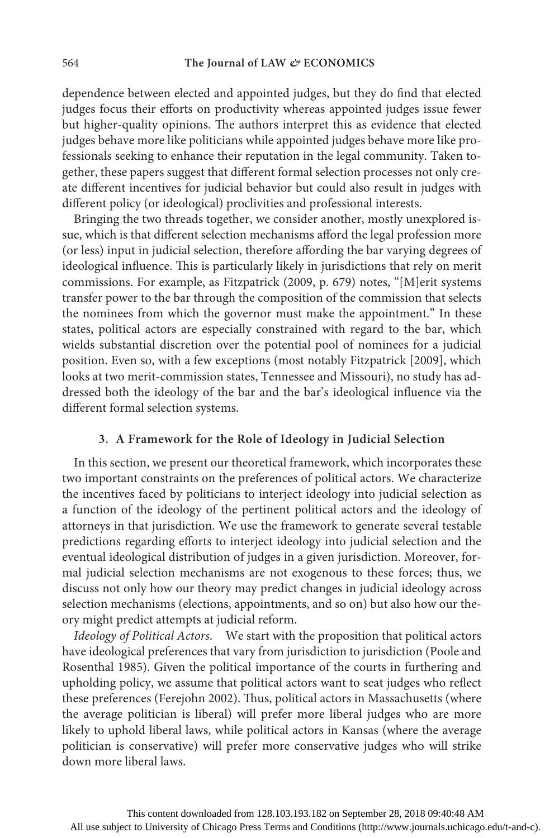dependence between elected and appointed judges, but they do find that elected judges focus their efforts on productivity whereas appointed judges issue fewer but higher-quality opinions. The authors interpret this as evidence that elected judges behave more like politicians while appointed judges behave more like professionals seeking to enhance their reputation in the legal community. Taken together, these papers suggest that different formal selection processes not only create different incentives for judicial behavior but could also result in judges with different policy (or ideological) proclivities and professional interests.

Bringing the two threads together, we consider another, mostly unexplored issue, which is that different selection mechanisms afford the legal profession more (or less) input in judicial selection, therefore affording the bar varying degrees of ideological influence. This is particularly likely in jurisdictions that rely on merit commissions. For example, as Fitzpatrick (2009, p. 679) notes, "[M]erit systems transfer power to the bar through the composition of the commission that selects the nominees from which the governor must make the appointment." In these states, political actors are especially constrained with regard to the bar, which wields substantial discretion over the potential pool of nominees for a judicial position. Even so, with a few exceptions (most notably Fitzpatrick [2009], which looks at two merit-commission states, Tennessee and Missouri), no study has addressed both the ideology of the bar and the bar's ideological influence via the different formal selection systems.

# **3. A Framework for the Role of Ideology in Judicial Selection**

In this section, we present our theoretical framework, which incorporates these two important constraints on the preferences of political actors. We characterize the incentives faced by politicians to interject ideology into judicial selection as a function of the ideology of the pertinent political actors and the ideology of attorneys in that jurisdiction. We use the framework to generate several testable predictions regarding efforts to interject ideology into judicial selection and the eventual ideological distribution of judges in a given jurisdiction. Moreover, formal judicial selection mechanisms are not exogenous to these forces; thus, we discuss not only how our theory may predict changes in judicial ideology across selection mechanisms (elections, appointments, and so on) but also how our theory might predict attempts at judicial reform.

*Ideology of Political Actors*. We start with the proposition that political actors have ideological preferences that vary from jurisdiction to jurisdiction (Poole and Rosenthal 1985). Given the political importance of the courts in furthering and upholding policy, we assume that political actors want to seat judges who reflect these preferences (Ferejohn 2002). Thus, political actors in Massachusetts (where the average politician is liberal) will prefer more liberal judges who are more likely to uphold liberal laws, while political actors in Kansas (where the average politician is conservative) will prefer more conservative judges who will strike down more liberal laws.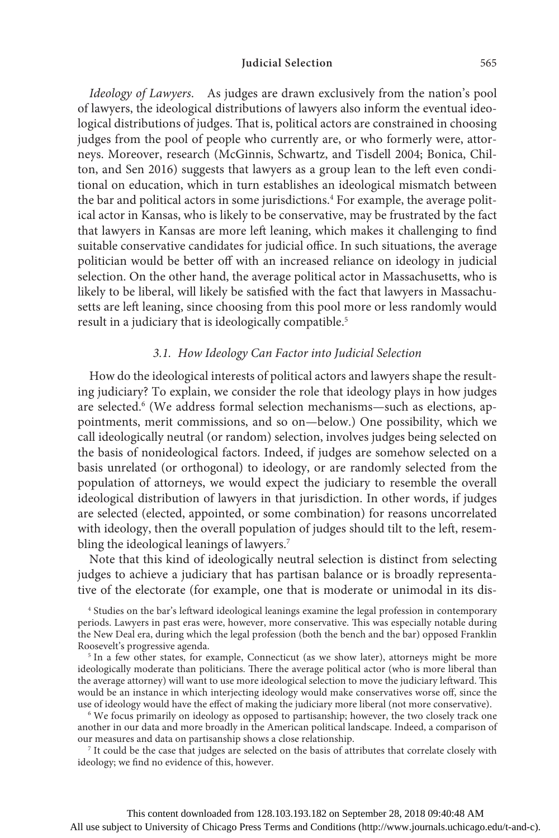*Ideology of Lawyers*. As judges are drawn exclusively from the nation's pool of lawyers, the ideological distributions of lawyers also inform the eventual ideological distributions of judges. That is, political actors are constrained in choosing judges from the pool of people who currently are, or who formerly were, attorneys. Moreover, research (McGinnis, Schwartz, and Tisdell 2004; Bonica, Chilton, and Sen 2016) suggests that lawyers as a group lean to the left even conditional on education, which in turn establishes an ideological mismatch between the bar and political actors in some jurisdictions.<sup>4</sup> For example, the average political actor in Kansas, who is likely to be conservative, may be frustrated by the fact that lawyers in Kansas are more left leaning, which makes it challenging to find suitable conservative candidates for judicial office. In such situations, the average politician would be better off with an increased reliance on ideology in judicial selection. On the other hand, the average political actor in Massachusetts, who is likely to be liberal, will likely be satisfied with the fact that lawyers in Massachusetts are left leaning, since choosing from this pool more or less randomly would result in a judiciary that is ideologically compatible.<sup>5</sup>

## *3.1. How Ideology Can Factor into Judicial Selection*

How do the ideological interests of political actors and lawyers shape the resulting judiciary? To explain, we consider the role that ideology plays in how judges are selected.<sup>6</sup> (We address formal selection mechanisms—such as elections, appointments, merit commissions, and so on—below.) One possibility, which we call ideologically neutral (or random) selection, involves judges being selected on the basis of nonideological factors. Indeed, if judges are somehow selected on a basis unrelated (or orthogonal) to ideology, or are randomly selected from the population of attorneys, we would expect the judiciary to resemble the overall ideological distribution of lawyers in that jurisdiction. In other words, if judges are selected (elected, appointed, or some combination) for reasons uncorrelated with ideology, then the overall population of judges should tilt to the left, resembling the ideological leanings of lawyers.<sup>7</sup>

Note that this kind of ideologically neutral selection is distinct from selecting judges to achieve a judiciary that has partisan balance or is broadly representative of the electorate (for example, one that is moderate or unimodal in its dis-

<sup>4</sup> Studies on the bar's leftward ideological leanings examine the legal profession in contemporary periods. Lawyers in past eras were, however, more conservative. This was especially notable during the New Deal era, during which the legal profession (both the bench and the bar) opposed Franklin Roosevelt's progressive agenda.

<sup>5</sup> In a few other states, for example, Connecticut (as we show later), attorneys might be more ideologically moderate than politicians. There the average political actor (who is more liberal than the average attorney) will want to use more ideological selection to move the judiciary leftward. This would be an instance in which interjecting ideology would make conservatives worse off, since the use of ideology would have the effect of making the judiciary more liberal (not more conservative).

<sup>6</sup> We focus primarily on ideology as opposed to partisanship; however, the two closely track one another in our data and more broadly in the American political landscape. Indeed, a comparison of our measures and data on partisanship shows a close relationship.

<sup>7</sup> It could be the case that judges are selected on the basis of attributes that correlate closely with ideology; we find no evidence of this, however.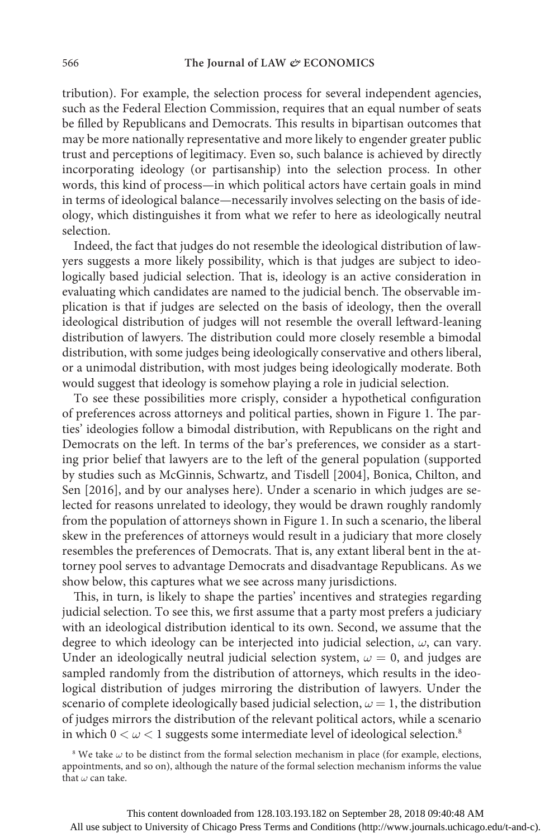tribution). For example, the selection process for several independent agencies, such as the Federal Election Commission, requires that an equal number of seats be filled by Republicans and Democrats. This results in bipartisan outcomes that may be more nationally representative and more likely to engender greater public trust and perceptions of legitimacy. Even so, such balance is achieved by directly incorporating ideology (or partisanship) into the selection process. In other words, this kind of process—in which political actors have certain goals in mind in terms of ideological balance—necessarily involves selecting on the basis of ideology, which distinguishes it from what we refer to here as ideologically neutral selection.

Indeed, the fact that judges do not resemble the ideological distribution of lawyers suggests a more likely possibility, which is that judges are subject to ideologically based judicial selection. That is, ideology is an active consideration in evaluating which candidates are named to the judicial bench. The observable implication is that if judges are selected on the basis of ideology, then the overall ideological distribution of judges will not resemble the overall leftward-leaning distribution of lawyers. The distribution could more closely resemble a bimodal distribution, with some judges being ideologically conservative and others liberal, or a unimodal distribution, with most judges being ideologically moderate. Both would suggest that ideology is somehow playing a role in judicial selection.

To see these possibilities more crisply, consider a hypothetical configuration of preferences across attorneys and political parties, shown in Figure 1. The parties' ideologies follow a bimodal distribution, with Republicans on the right and Democrats on the left. In terms of the bar's preferences, we consider as a starting prior belief that lawyers are to the left of the general population (supported by studies such as McGinnis, Schwartz, and Tisdell [2004], Bonica, Chilton, and Sen [2016], and by our analyses here). Under a scenario in which judges are selected for reasons unrelated to ideology, they would be drawn roughly randomly from the population of attorneys shown in Figure 1. In such a scenario, the liberal skew in the preferences of attorneys would result in a judiciary that more closely resembles the preferences of Democrats. That is, any extant liberal bent in the attorney pool serves to advantage Democrats and disadvantage Republicans. As we show below, this captures what we see across many jurisdictions.

This, in turn, is likely to shape the parties' incentives and strategies regarding judicial selection. To see this, we first assume that a party most prefers a judiciary with an ideological distribution identical to its own. Second, we assume that the degree to which ideology can be interjected into judicial selection, *ω*, can vary. Under an ideologically neutral judicial selection system,  $\omega = 0$ , and judges are sampled randomly from the distribution of attorneys, which results in the ideological distribution of judges mirroring the distribution of lawyers. Under the scenario of complete ideologically based judicial selection,  $\omega = 1$ , the distribution of judges mirrors the distribution of the relevant political actors, while a scenario in which  $0 < \omega < 1$  suggests some intermediate level of ideological selection.<sup>8</sup>

<sup>8</sup> We take  $\omega$  to be distinct from the formal selection mechanism in place (for example, elections, appointments, and so on), although the nature of the formal selection mechanism informs the value that *ω* can take.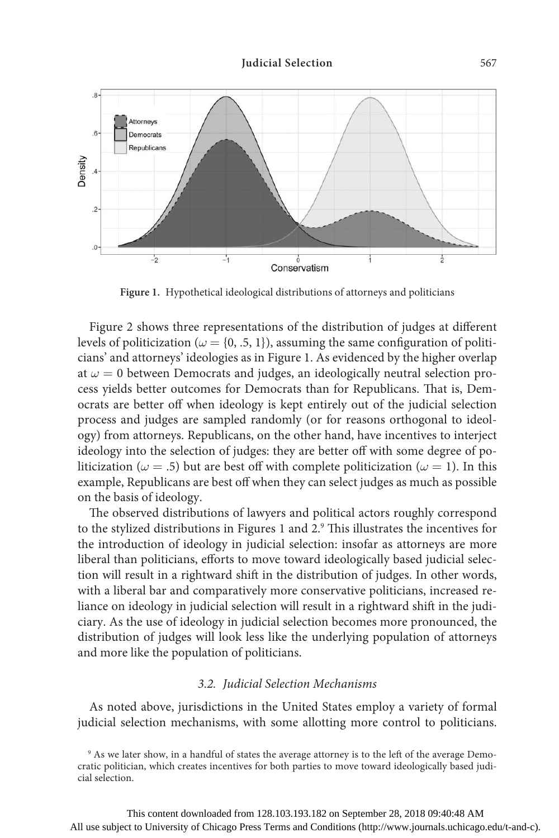

**Figure 1.** Hypothetical ideological distributions of attorneys and politicians

Figure 2 shows three representations of the distribution of judges at different levels of politicization ( $\omega = \{0, .5, 1\}$ ), assuming the same configuration of politicians' and attorneys' ideologies as in Figure 1. As evidenced by the higher overlap at  $\omega = 0$  between Democrats and judges, an ideologically neutral selection process yields better outcomes for Democrats than for Republicans. That is, Democrats are better off when ideology is kept entirely out of the judicial selection process and judges are sampled randomly (or for reasons orthogonal to ideology) from attorneys. Republicans, on the other hand, have incentives to interject ideology into the selection of judges: they are better off with some degree of politicization ( $\omega = .5$ ) but are best off with complete politicization ( $\omega = 1$ ). In this example, Republicans are best off when they can select judges as much as possible on the basis of ideology.

The observed distributions of lawyers and political actors roughly correspond to the stylized distributions in Figures 1 and 2.<sup>9</sup> This illustrates the incentives for the introduction of ideology in judicial selection: insofar as attorneys are more liberal than politicians, efforts to move toward ideologically based judicial selection will result in a rightward shift in the distribution of judges. In other words, with a liberal bar and comparatively more conservative politicians, increased reliance on ideology in judicial selection will result in a rightward shift in the judiciary. As the use of ideology in judicial selection becomes more pronounced, the distribution of judges will look less like the underlying population of attorneys and more like the population of politicians.

## *3.2. Judicial Selection Mechanisms*

As noted above, jurisdictions in the United States employ a variety of formal judicial selection mechanisms, with some allotting more control to politicians.

<sup>9</sup> As we later show, in a handful of states the average attorney is to the left of the average Democratic politician, which creates incentives for both parties to move toward ideologically based judicial selection.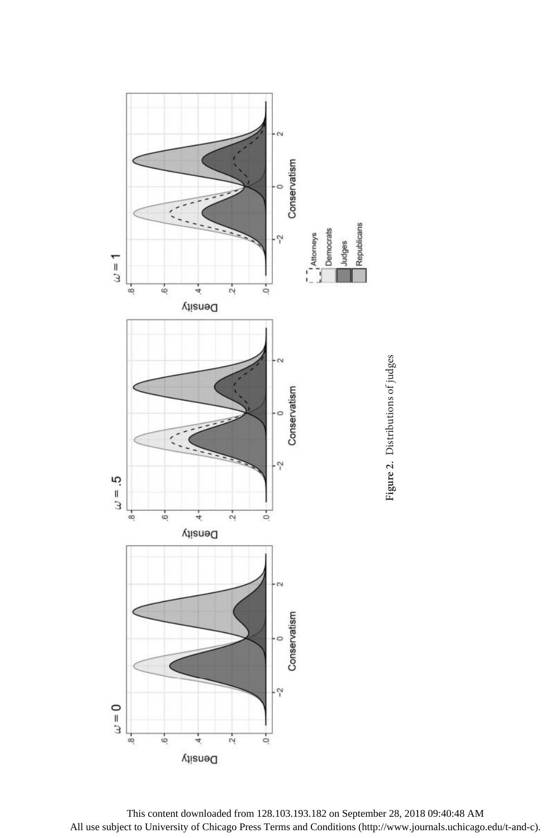

Figure 2. Distributions of judges **Figure 2.** Distributions of judges

This content downloaded from 128.103.193.182 on September 28, 2018 09:40:48 AM All use subject to University of Chicago Press Terms and Conditions (http://www.journals.uchicago.edu/t-and-c).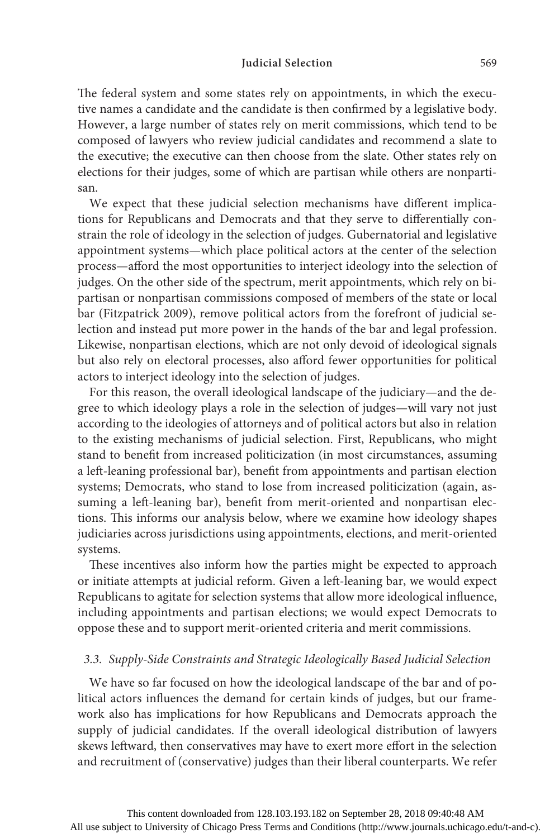#### **Iudicial Selection** 569

The federal system and some states rely on appointments, in which the executive names a candidate and the candidate is then confirmed by a legislative body. However, a large number of states rely on merit commissions, which tend to be composed of lawyers who review judicial candidates and recommend a slate to the executive; the executive can then choose from the slate. Other states rely on elections for their judges, some of which are partisan while others are nonpartisan.

We expect that these judicial selection mechanisms have different implications for Republicans and Democrats and that they serve to differentially constrain the role of ideology in the selection of judges. Gubernatorial and legislative appointment systems—which place political actors at the center of the selection process—afford the most opportunities to interject ideology into the selection of judges. On the other side of the spectrum, merit appointments, which rely on bipartisan or nonpartisan commissions composed of members of the state or local bar (Fitzpatrick 2009), remove political actors from the forefront of judicial selection and instead put more power in the hands of the bar and legal profession. Likewise, nonpartisan elections, which are not only devoid of ideological signals but also rely on electoral processes, also afford fewer opportunities for political actors to interject ideology into the selection of judges.

For this reason, the overall ideological landscape of the judiciary—and the degree to which ideology plays a role in the selection of judges—will vary not just according to the ideologies of attorneys and of political actors but also in relation to the existing mechanisms of judicial selection. First, Republicans, who might stand to benefit from increased politicization (in most circumstances, assuming a left-leaning professional bar), benefit from appointments and partisan election systems; Democrats, who stand to lose from increased politicization (again, assuming a left-leaning bar), benefit from merit-oriented and nonpartisan elections. This informs our analysis below, where we examine how ideology shapes judiciaries across jurisdictions using appointments, elections, and merit-oriented systems.

These incentives also inform how the parties might be expected to approach or initiate attempts at judicial reform. Given a left-leaning bar, we would expect Republicans to agitate for selection systems that allow more ideological influence, including appointments and partisan elections; we would expect Democrats to oppose these and to support merit-oriented criteria and merit commissions.

#### *3.3. Supply-Side Constraints and Strategic Ideologically Based Judicial Selection*

We have so far focused on how the ideological landscape of the bar and of political actors influences the demand for certain kinds of judges, but our framework also has implications for how Republicans and Democrats approach the supply of judicial candidates. If the overall ideological distribution of lawyers skews leftward, then conservatives may have to exert more effort in the selection and recruitment of (conservative) judges than their liberal counterparts. We refer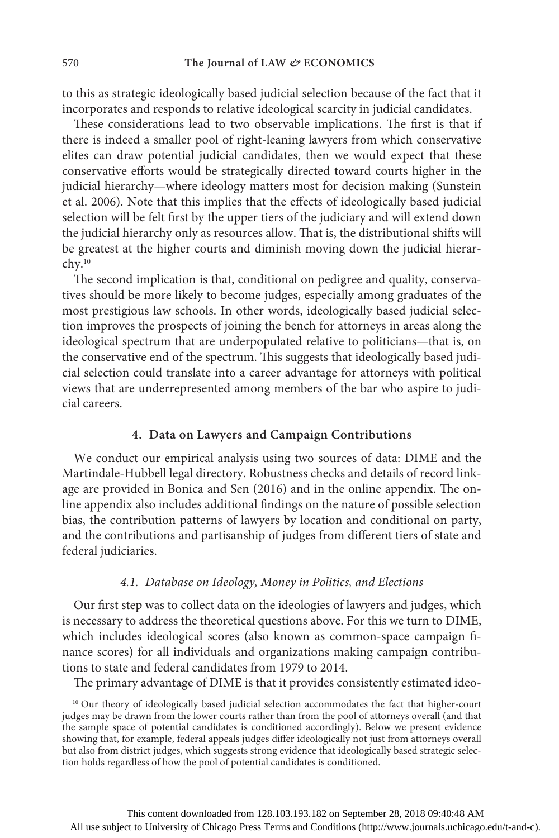to this as strategic ideologically based judicial selection because of the fact that it incorporates and responds to relative ideological scarcity in judicial candidates.

These considerations lead to two observable implications. The first is that if there is indeed a smaller pool of right-leaning lawyers from which conservative elites can draw potential judicial candidates, then we would expect that these conservative efforts would be strategically directed toward courts higher in the judicial hierarchy—where ideology matters most for decision making (Sunstein et al. 2006). Note that this implies that the effects of ideologically based judicial selection will be felt first by the upper tiers of the judiciary and will extend down the judicial hierarchy only as resources allow. That is, the distributional shifts will be greatest at the higher courts and diminish moving down the judicial hierarchy.10

The second implication is that, conditional on pedigree and quality, conservatives should be more likely to become judges, especially among graduates of the most prestigious law schools. In other words, ideologically based judicial selection improves the prospects of joining the bench for attorneys in areas along the ideological spectrum that are underpopulated relative to politicians—that is, on the conservative end of the spectrum. This suggests that ideologically based judicial selection could translate into a career advantage for attorneys with political views that are underrepresented among members of the bar who aspire to judicial careers.

# **4. Data on Lawyers and Campaign Contributions**

We conduct our empirical analysis using two sources of data: DIME and the Martindale-Hubbell legal directory. Robustness checks and details of record linkage are provided in Bonica and Sen (2016) and in the online appendix. The online appendix also includes additional findings on the nature of possible selection bias, the contribution patterns of lawyers by location and conditional on party, and the contributions and partisanship of judges from different tiers of state and federal judiciaries.

#### *4.1. Database on Ideology, Money in Politics, and Elections*

Our first step was to collect data on the ideologies of lawyers and judges, which is necessary to address the theoretical questions above. For this we turn to DIME, which includes ideological scores (also known as common-space campaign finance scores) for all individuals and organizations making campaign contributions to state and federal candidates from 1979 to 2014.

The primary advantage of DIME is that it provides consistently estimated ideo-

<sup>10</sup> Our theory of ideologically based judicial selection accommodates the fact that higher-court judges may be drawn from the lower courts rather than from the pool of attorneys overall (and that the sample space of potential candidates is conditioned accordingly). Below we present evidence showing that, for example, federal appeals judges differ ideologically not just from attorneys overall but also from district judges, which suggests strong evidence that ideologically based strategic selection holds regardless of how the pool of potential candidates is conditioned.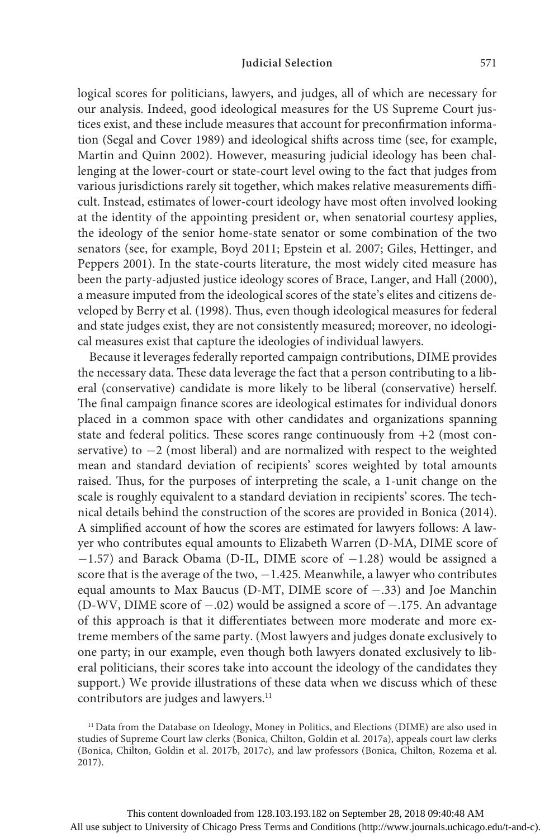#### **Judicial Selection** 571

logical scores for politicians, lawyers, and judges, all of which are necessary for our analysis. Indeed, good ideological measures for the US Supreme Court justices exist, and these include measures that account for preconfirmation information (Segal and Cover 1989) and ideological shifts across time (see, for example, Martin and Quinn 2002). However, measuring judicial ideology has been challenging at the lower-court or state-court level owing to the fact that judges from various jurisdictions rarely sit together, which makes relative measurements difficult. Instead, estimates of lower-court ideology have most often involved looking at the identity of the appointing president or, when senatorial courtesy applies, the ideology of the senior home-state senator or some combination of the two senators (see, for example, Boyd 2011; Epstein et al. 2007; Giles, Hettinger, and Peppers 2001). In the state-courts literature, the most widely cited measure has been the party-adjusted justice ideology scores of Brace, Langer, and Hall (2000), a measure imputed from the ideological scores of the state's elites and citizens developed by Berry et al. (1998). Thus, even though ideological measures for federal and state judges exist, they are not consistently measured; moreover, no ideological measures exist that capture the ideologies of individual lawyers.

Because it leverages federally reported campaign contributions, DIME provides the necessary data. These data leverage the fact that a person contributing to a liberal (conservative) candidate is more likely to be liberal (conservative) herself. The final campaign finance scores are ideological estimates for individual donors placed in a common space with other candidates and organizations spanning state and federal politics. These scores range continuously from *+*2 (most conservative) to −2 (most liberal) and are normalized with respect to the weighted mean and standard deviation of recipients' scores weighted by total amounts raised. Thus, for the purposes of interpreting the scale, a 1-unit change on the scale is roughly equivalent to a standard deviation in recipients' scores. The technical details behind the construction of the scores are provided in Bonica (2014). A simplified account of how the scores are estimated for lawyers follows: A lawyer who contributes equal amounts to Elizabeth Warren (D-MA, DIME score of −1.57) and Barack Obama (D-IL, DIME score of −1.28) would be assigned a score that is the average of the two,  $-1.425$ . Meanwhile, a lawyer who contributes equal amounts to Max Baucus (D-MT, DIME score of −.33) and Joe Manchin (D-WV, DIME score of −.02) would be assigned a score of −.175. An advantage of this approach is that it differentiates between more moderate and more extreme members of the same party. (Most lawyers and judges donate exclusively to one party; in our example, even though both lawyers donated exclusively to liberal politicians, their scores take into account the ideology of the candidates they support.) We provide illustrations of these data when we discuss which of these contributors are judges and lawyers.<sup>11</sup>

<sup>&</sup>lt;sup>11</sup> Data from the Database on Ideology, Money in Politics, and Elections (DIME) are also used in studies of Supreme Court law clerks (Bonica, Chilton, Goldin et al. 2017a), appeals court law clerks (Bonica, Chilton, Goldin et al. 2017b, 2017c), and law professors (Bonica, Chilton, Rozema et al. 2017).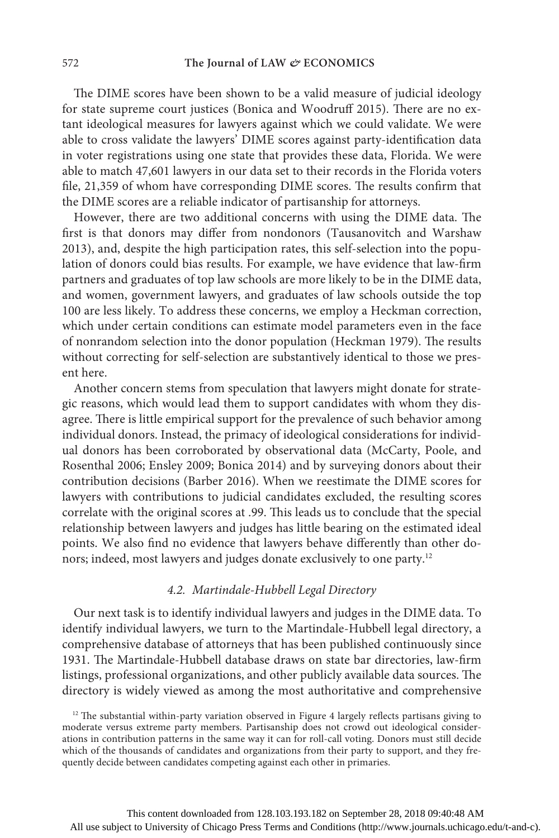The DIME scores have been shown to be a valid measure of judicial ideology for state supreme court justices (Bonica and Woodruff 2015). There are no extant ideological measures for lawyers against which we could validate. We were able to cross validate the lawyers' DIME scores against party-identification data in voter registrations using one state that provides these data, Florida. We were able to match 47,601 lawyers in our data set to their records in the Florida voters file, 21,359 of whom have corresponding DIME scores. The results confirm that the DIME scores are a reliable indicator of partisanship for attorneys.

However, there are two additional concerns with using the DIME data. The first is that donors may differ from nondonors (Tausanovitch and Warshaw 2013), and, despite the high participation rates, this self-selection into the population of donors could bias results. For example, we have evidence that law-firm partners and graduates of top law schools are more likely to be in the DIME data, and women, government lawyers, and graduates of law schools outside the top 100 are less likely. To address these concerns, we employ a Heckman correction, which under certain conditions can estimate model parameters even in the face of nonrandom selection into the donor population (Heckman 1979). The results without correcting for self-selection are substantively identical to those we present here.

Another concern stems from speculation that lawyers might donate for strategic reasons, which would lead them to support candidates with whom they disagree. There is little empirical support for the prevalence of such behavior among individual donors. Instead, the primacy of ideological considerations for individual donors has been corroborated by observational data (McCarty, Poole, and Rosenthal 2006; Ensley 2009; Bonica 2014) and by surveying donors about their contribution decisions (Barber 2016). When we reestimate the DIME scores for lawyers with contributions to judicial candidates excluded, the resulting scores correlate with the original scores at .99. This leads us to conclude that the special relationship between lawyers and judges has little bearing on the estimated ideal points. We also find no evidence that lawyers behave differently than other donors; indeed, most lawyers and judges donate exclusively to one party.12

#### *4.2. Martindale-Hubbell Legal Directory*

Our next task is to identify individual lawyers and judges in the DIME data. To identify individual lawyers, we turn to the Martindale-Hubbell legal directory, a comprehensive database of attorneys that has been published continuously since 1931. The Martindale-Hubbell database draws on state bar directories, law-firm listings, professional organizations, and other publicly available data sources. The directory is widely viewed as among the most authoritative and comprehensive

<sup>12</sup> The substantial within-party variation observed in Figure 4 largely reflects partisans giving to moderate versus extreme party members. Partisanship does not crowd out ideological considerations in contribution patterns in the same way it can for roll-call voting. Donors must still decide which of the thousands of candidates and organizations from their party to support, and they frequently decide between candidates competing against each other in primaries.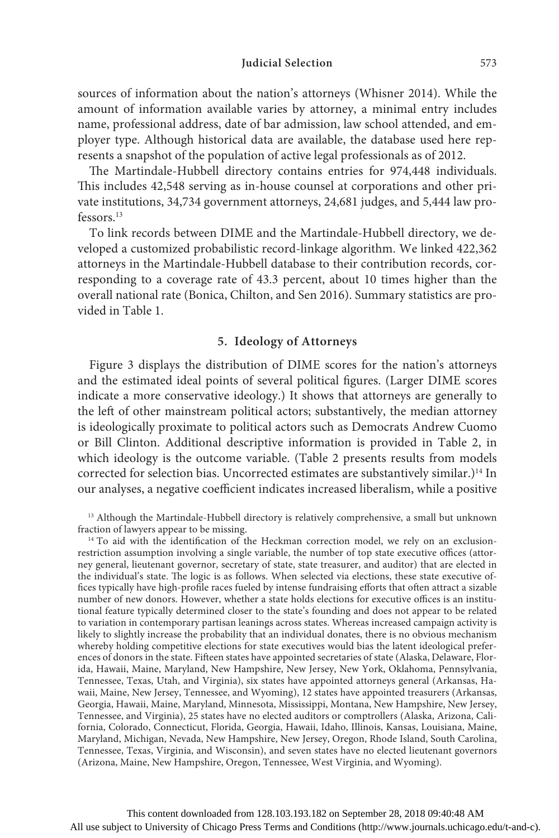sources of information about the nation's attorneys (Whisner 2014). While the amount of information available varies by attorney, a minimal entry includes name, professional address, date of bar admission, law school attended, and employer type. Although historical data are available, the database used here represents a snapshot of the population of active legal professionals as of 2012.

The Martindale-Hubbell directory contains entries for 974,448 individuals. This includes 42,548 serving as in-house counsel at corporations and other private institutions, 34,734 government attorneys, 24,681 judges, and 5,444 law professors<sup>13</sup>

To link records between DIME and the Martindale-Hubbell directory, we developed a customized probabilistic record-linkage algorithm. We linked 422,362 attorneys in the Martindale-Hubbell database to their contribution records, corresponding to a coverage rate of 43.3 percent, about 10 times higher than the overall national rate (Bonica, Chilton, and Sen 2016). Summary statistics are provided in Table 1.

## **5. Ideology of Attorneys**

Figure 3 displays the distribution of DIME scores for the nation's attorneys and the estimated ideal points of several political figures. (Larger DIME scores indicate a more conservative ideology.) It shows that attorneys are generally to the left of other mainstream political actors; substantively, the median attorney is ideologically proximate to political actors such as Democrats Andrew Cuomo or Bill Clinton. Additional descriptive information is provided in Table 2, in which ideology is the outcome variable. (Table 2 presents results from models corrected for selection bias. Uncorrected estimates are substantively similar.)14 In our analyses, a negative coefficient indicates increased liberalism, while a positive

<sup>13</sup> Although the Martindale-Hubbell directory is relatively comprehensive, a small but unknown fraction of lawyers appear to be missing.

<sup>14</sup> To aid with the identification of the Heckman correction model, we rely on an exclusionrestriction assumption involving a single variable, the number of top state executive offices (attorney general, lieutenant governor, secretary of state, state treasurer, and auditor) that are elected in the individual's state. The logic is as follows. When selected via elections, these state executive offices typically have high-profile races fueled by intense fundraising efforts that often attract a sizable number of new donors. However, whether a state holds elections for executive offices is an institutional feature typically determined closer to the state's founding and does not appear to be related to variation in contemporary partisan leanings across states. Whereas increased campaign activity is likely to slightly increase the probability that an individual donates, there is no obvious mechanism whereby holding competitive elections for state executives would bias the latent ideological preferences of donors in the state. Fifteen states have appointed secretaries of state (Alaska, Delaware, Florida, Hawaii, Maine, Maryland, New Hampshire, New Jersey, New York, Oklahoma, Pennsylvania, Tennessee, Texas, Utah, and Virginia), six states have appointed attorneys general (Arkansas, Hawaii, Maine, New Jersey, Tennessee, and Wyoming), 12 states have appointed treasurers (Arkansas, Georgia, Hawaii, Maine, Maryland, Minnesota, Mississippi, Montana, New Hampshire, New Jersey, Tennessee, and Virginia), 25 states have no elected auditors or comptrollers (Alaska, Arizona, California, Colorado, Connecticut, Florida, Georgia, Hawaii, Idaho, Illinois, Kansas, Louisiana, Maine, Maryland, Michigan, Nevada, New Hampshire, New Jersey, Oregon, Rhode Island, South Carolina, Tennessee, Texas, Virginia, and Wisconsin), and seven states have no elected lieutenant governors (Arizona, Maine, New Hampshire, Oregon, Tennessee, West Virginia, and Wyoming).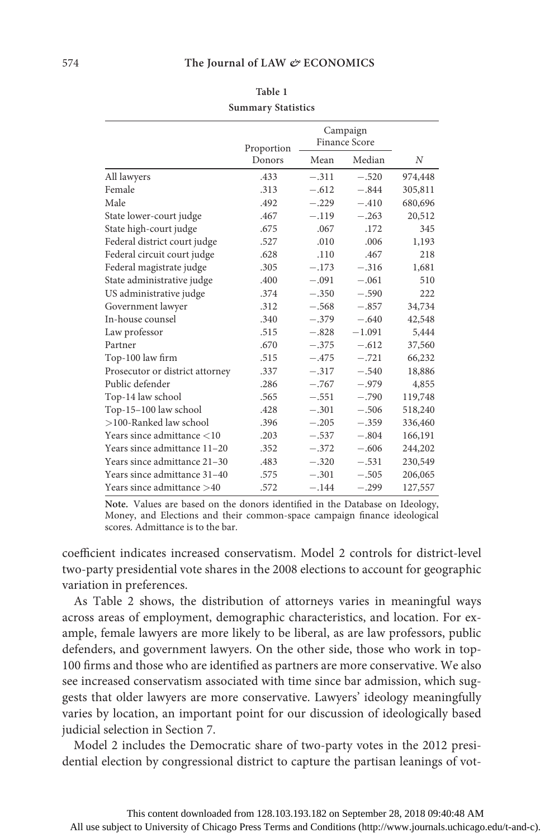|        | Campaign<br>Finance Score |          |         |
|--------|---------------------------|----------|---------|
| Donors | Mean                      | Median   | Ν       |
| .433   | $-.311$                   | $-.520$  | 974,448 |
| .313   | $-.612$                   | $-.844$  | 305,811 |
| .492   | $-.229$                   | $-.410$  | 680,696 |
| .467   | $-.119$                   | $-.263$  | 20,512  |
| .675   | .067                      | .172     | 345     |
| .527   | .010                      | .006     | 1,193   |
| .628   | .110                      | .467     | 218     |
| .305   | $-.173$                   | $-.316$  | 1,681   |
| .400   | $-.091$                   | $-.061$  | 510     |
| .374   | $-.350$                   | $-.590$  | 222     |
| .312   | $-.568$                   | $-.857$  | 34,734  |
| .340   | $-.379$                   | $-.640$  | 42,548  |
| .515   | $-.828$                   | $-1.091$ | 5,444   |
| .670   | $-.375$                   | $-.612$  | 37,560  |
| .515   | $-.475$                   | $-.721$  | 66,232  |
| .337   | $-.317$                   | $-.540$  | 18,886  |
| .286   | $-.767$                   | $-.979$  | 4,855   |
| .565   | $-.551$                   | $-.790$  | 119,748 |
| .428   | $-.301$                   | $-.506$  | 518,240 |
| .396   | $-.205$                   | $-.359$  | 336,460 |
| .203   | $-.537$                   | $-.804$  | 166,191 |
| .352   | $-.372$                   | $-.606$  | 244,202 |
| .483   | $-.320$                   | $-.531$  | 230,549 |
| .575   | $-.301$                   | $-.505$  | 206,065 |
| .572   | $-.144$                   | $-.299$  | 127,557 |
|        | Proportion                | $\ldots$ |         |

**Table 1 Summary Statistics**

**Note.** Values are based on the donors identified in the Database on Ideology, Money, and Elections and their common-space campaign finance ideological scores. Admittance is to the bar.

coefficient indicates increased conservatism. Model 2 controls for district-level two-party presidential vote shares in the 2008 elections to account for geographic variation in preferences.

As Table 2 shows, the distribution of attorneys varies in meaningful ways across areas of employment, demographic characteristics, and location. For example, female lawyers are more likely to be liberal, as are law professors, public defenders, and government lawyers. On the other side, those who work in top-100 firms and those who are identified as partners are more conservative. We also see increased conservatism associated with time since bar admission, which suggests that older lawyers are more conservative. Lawyers' ideology meaningfully varies by location, an important point for our discussion of ideologically based judicial selection in Section 7.

Model 2 includes the Democratic share of two-party votes in the 2012 presidential election by congressional district to capture the partisan leanings of vot-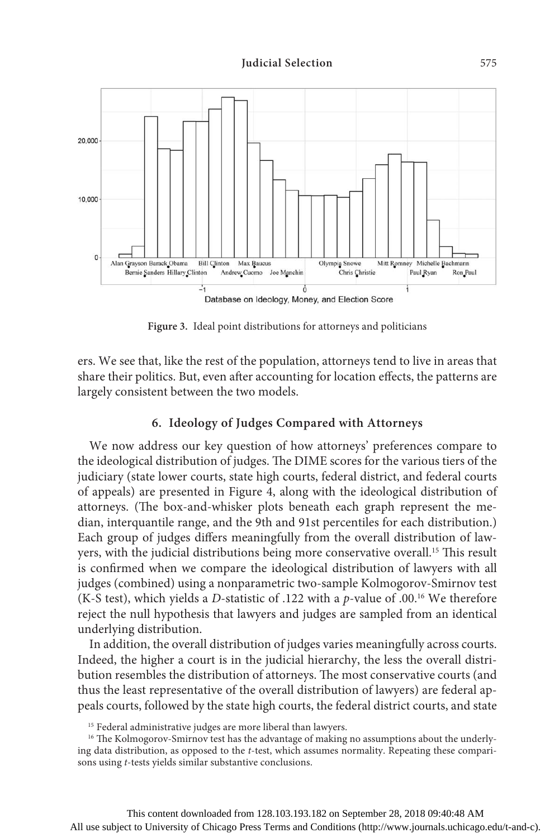

**Figure 3.** Ideal point distributions for attorneys and politicians

ers. We see that, like the rest of the population, attorneys tend to live in areas that share their politics. But, even after accounting for location effects, the patterns are largely consistent between the two models.

# **6. Ideology of Judges Compared with Attorneys**

We now address our key question of how attorneys' preferences compare to the ideological distribution of judges. The DIME scores for the various tiers of the judiciary (state lower courts, state high courts, federal district, and federal courts of appeals) are presented in Figure 4, along with the ideological distribution of attorneys. (The box-and-whisker plots beneath each graph represent the median, interquantile range, and the 9th and 91st percentiles for each distribution.) Each group of judges differs meaningfully from the overall distribution of lawyers, with the judicial distributions being more conservative overall.15 This result is confirmed when we compare the ideological distribution of lawyers with all judges (combined) using a nonparametric two-sample Kolmogorov-Smirnov test (K-S test), which yields a *D*-statistic of .122 with a *p*-value of .00.16 We therefore reject the null hypothesis that lawyers and judges are sampled from an identical underlying distribution.

In addition, the overall distribution of judges varies meaningfully across courts. Indeed, the higher a court is in the judicial hierarchy, the less the overall distribution resembles the distribution of attorneys. The most conservative courts (and thus the least representative of the overall distribution of lawyers) are federal appeals courts, followed by the state high courts, the federal district courts, and state

<sup>&</sup>lt;sup>15</sup> Federal administrative judges are more liberal than lawyers.

<sup>&</sup>lt;sup>16</sup> The Kolmogorov-Smirnov test has the advantage of making no assumptions about the underlying data distribution, as opposed to the *t*-test, which assumes normality. Repeating these comparisons using *t*-tests yields similar substantive conclusions.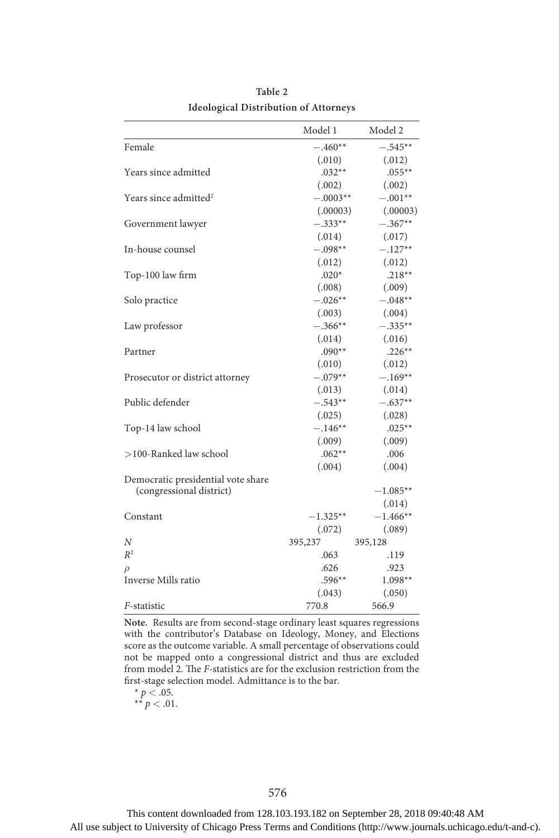|                                    | Model 1    | Model 2    |
|------------------------------------|------------|------------|
| Female                             | $-.460**$  | $-.545**$  |
|                                    | (.010)     | (.012)     |
| Years since admitted               | $.032**$   | $.055**$   |
|                                    | (.002)     | (.002)     |
| Years since admitted <sup>2</sup>  | $-.0003**$ | $-.001**$  |
|                                    | (.00003)   | (.00003)   |
| Government lawyer                  | $-.333**$  | $-.367**$  |
|                                    | (.014)     | (.017)     |
| In-house counsel                   | $-.098**$  | $-.127**$  |
|                                    | (.012)     | (.012)     |
| Top-100 law firm                   | $.020*$    | $.218**$   |
|                                    | (.008)     | (.009)     |
| Solo practice                      | $-.026**$  | $-.048**$  |
|                                    | (.003)     | (.004)     |
| Law professor                      | $-.366**$  | $-.335**$  |
|                                    | (.014)     | (.016)     |
| Partner                            | $.090**$   | $.226**$   |
|                                    | (.010)     | (.012)     |
| Prosecutor or district attorney    | $-.079**$  | $-.169**$  |
|                                    | (.013)     | (.014)     |
| Public defender                    | $-.543**$  | $-.637**$  |
|                                    | (.025)     | (.028)     |
| Top-14 law school                  | $-.146**$  | $.025**$   |
|                                    | (.009)     | (.009)     |
| >100-Ranked law school             | $.062**$   | .006       |
|                                    | (.004)     | (.004)     |
| Democratic presidential vote share |            |            |
| (congressional district)           |            | $-1.085**$ |
|                                    |            | (.014)     |
| Constant                           | $-1.325**$ | $-1.466**$ |
|                                    | (.072)     | (.089)     |
| N                                  | 395,237    | 395,128    |
| $R^2$                              | .063       | .119       |
| $\rho$                             | .626       | .923       |
| Inverse Mills ratio                | $.596**$   | $1.098**$  |
|                                    | (.043)     | (.050)     |
| F-statistic                        | 770.8      | 566.9      |

**Table 2 Ideological Distribution of Attorneys**

**Note.** Results are from second-stage ordinary least squares regressions with the contributor's Database on Ideology, Money, and Elections score as the outcome variable. A small percentage of observations could not be mapped onto a congressional district and thus are excluded from model 2. The *F*-statistics are for the exclusion restriction from the first-stage selection model. Admittance is to the bar.

 $*$   $p < .05$ .

 $** p < .01$ .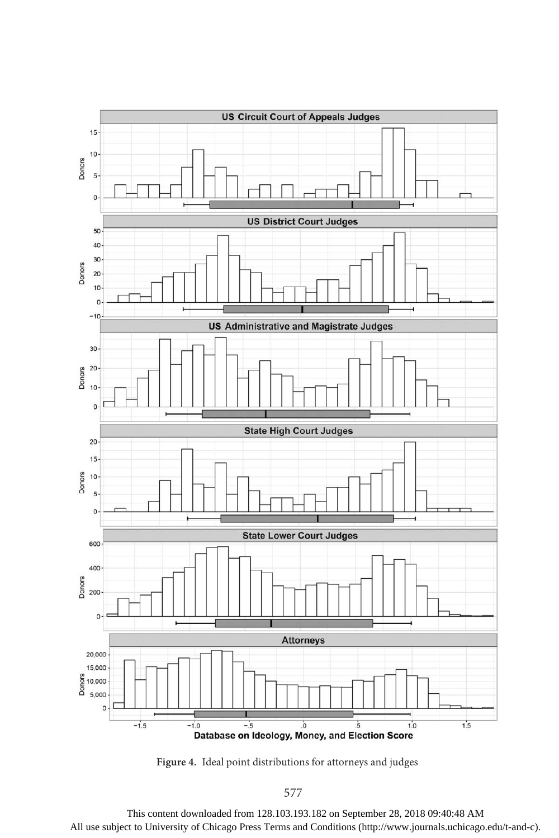

**Figure 4.** Ideal point distributions for attorneys and judges

This content downloaded from 128.103.193.182 on September 28, 2018 09:40:48 AM All use subject to University of Chicago Press Terms and Conditions (http://www.journals.uchicago.edu/t-and-c).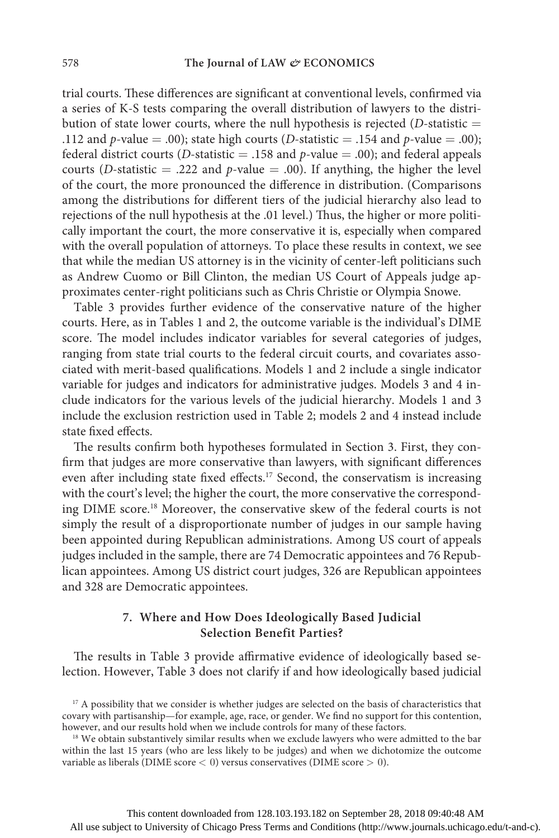trial courts. These differences are significant at conventional levels, confirmed via a series of K-S tests comparing the overall distribution of lawyers to the distribution of state lower courts, where the null hypothesis is rejected (*D*-statistic = .112 and *p*-value = .00); state high courts (*D*-statistic = .154 and *p*-value = .00); federal district courts (*D*-statistic  $= .158$  and *p*-value  $= .00$ ); and federal appeals courts (*D*-statistic = .222 and *p*-value = .00). If anything, the higher the level of the court, the more pronounced the difference in distribution. (Comparisons among the distributions for different tiers of the judicial hierarchy also lead to rejections of the null hypothesis at the .01 level.) Thus, the higher or more politically important the court, the more conservative it is, especially when compared with the overall population of attorneys. To place these results in context, we see that while the median US attorney is in the vicinity of center-left politicians such as Andrew Cuomo or Bill Clinton, the median US Court of Appeals judge approximates center-right politicians such as Chris Christie or Olympia Snowe.

Table 3 provides further evidence of the conservative nature of the higher courts. Here, as in Tables 1 and 2, the outcome variable is the individual's DIME score. The model includes indicator variables for several categories of judges, ranging from state trial courts to the federal circuit courts, and covariates associated with merit-based qualifications. Models 1 and 2 include a single indicator variable for judges and indicators for administrative judges. Models 3 and 4 include indicators for the various levels of the judicial hierarchy. Models 1 and 3 include the exclusion restriction used in Table 2; models 2 and 4 instead include state fixed effects.

The results confirm both hypotheses formulated in Section 3. First, they confirm that judges are more conservative than lawyers, with significant differences even after including state fixed effects.17 Second, the conservatism is increasing with the court's level; the higher the court, the more conservative the corresponding DIME score.18 Moreover, the conservative skew of the federal courts is not simply the result of a disproportionate number of judges in our sample having been appointed during Republican administrations. Among US court of appeals judges included in the sample, there are 74 Democratic appointees and 76 Republican appointees. Among US district court judges, 326 are Republican appointees and 328 are Democratic appointees.

## **7. Where and How Does Ideologically Based Judicial Selection Benefit Parties?**

The results in Table 3 provide affirmative evidence of ideologically based selection. However, Table 3 does not clarify if and how ideologically based judicial

 $17$  A possibility that we consider is whether judges are selected on the basis of characteristics that covary with partisanship—for example, age, race, or gender. We find no support for this contention, however, and our results hold when we include controls for many of these factors.

<sup>&</sup>lt;sup>18</sup> We obtain substantively similar results when we exclude lawyers who were admitted to the bar within the last 15 years (who are less likely to be judges) and when we dichotomize the outcome variable as liberals (DIME score  $<$  0) versus conservatives (DIME score  $>$  0).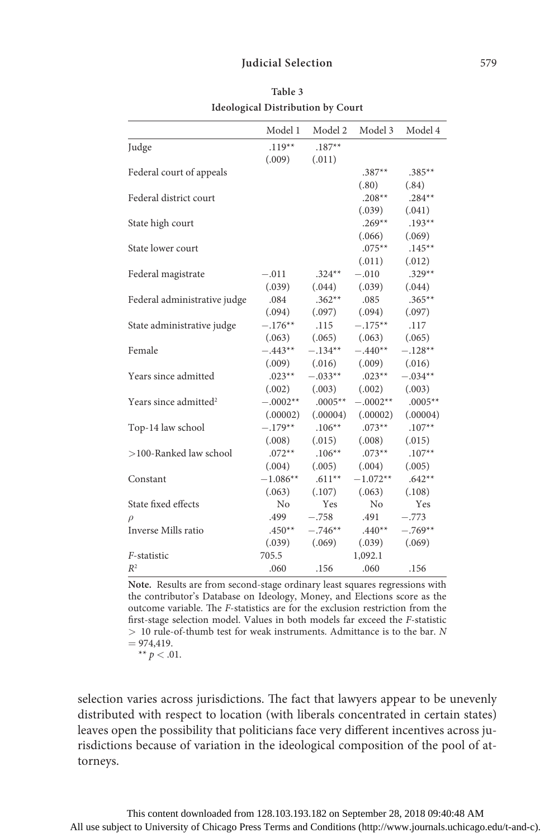|                                   | Model 1    | Model 2    | Model 3    | Model 4   |
|-----------------------------------|------------|------------|------------|-----------|
| Judge                             | $.119**$   | $.187**$   |            |           |
|                                   | (.009)     | (.011)     |            |           |
| Federal court of appeals          |            |            | $.387**$   | $.385**$  |
|                                   |            |            | (.80)      | (.84)     |
| Federal district court            |            |            | $.208**$   | $.284**$  |
|                                   |            |            | (.039)     | (.041)    |
| State high court                  |            |            | $.269**$   | $.193**$  |
|                                   |            |            | (.066)     | (.069)    |
| State lower court                 |            |            | $.075***$  | $.145**$  |
|                                   |            |            | (.011)     | (.012)    |
| Federal magistrate                | $-.011$    | $.324**$   | $-.010$    | $.329**$  |
|                                   | (.039)     | (.044)     | (.039)     | (.044)    |
| Federal administrative judge      | .084       | $.362**$   | .085       | $.365***$ |
|                                   | (.094)     | (.097)     | (.094)     | (.097)    |
| State administrative judge        | $-.176**$  | .115       | $-.175**$  | .117      |
|                                   | (.063)     | (.065)     | (.063)     | (.065)    |
| Female                            | $-.443**$  | $-.134**$  | $-.440**$  | $-.128**$ |
|                                   | (.009)     | (.016)     | (.009)     | (.016)    |
| Years since admitted              | $.023**$   | $-.033**$  | $.023**$   | $-.034**$ |
|                                   | (.002)     | (.003)     | (.002)     | (.003)    |
| Years since admitted <sup>2</sup> | $-.0002**$ | $.0005**$  | $-.0002**$ | $.0005**$ |
|                                   | (.00002)   | (.00004)   | (.00002)   | (.00004)  |
| Top-14 law school                 | $-.179**$  | $.106**$   | $.073**$   | $.107**$  |
|                                   | (.008)     | (.015)     | (.008)     | (.015)    |
| >100-Ranked law school            | $.072**$   | $.106**$   | $.073**$   | $.107**$  |
|                                   | (.004)     | (.005)     | (.004)     | (.005)    |
| Constant                          | $-1.086**$ | $.611**$   | $-1.072**$ | $.642**$  |
|                                   | (.063)     | (.107)     | (.063)     | (.108)    |
| State fixed effects               | No         | <b>Yes</b> | No         | Yes       |
| $\rho$                            | .499       | $-.758$    | .491       | $-.773$   |
| Inverse Mills ratio               | $.450**$   | $-.746**$  | $.440**$   | $-.769**$ |
|                                   | (.039)     | (.069)     | (.039)     | (.069)    |
| F-statistic                       | 705.5      |            | 1,092.1    |           |
| $R^2$                             | .060       | .156       | .060       | .156      |

**Table 3 Ideological Distribution by Court**

**Note.** Results are from second-stage ordinary least squares regressions with the contributor's Database on Ideology, Money, and Elections score as the outcome variable. The *F*-statistics are for the exclusion restriction from the first-stage selection model. Values in both models far exceed the *F*-statistic > 10 rule-of-thumb test for weak instruments. Admittance is to the bar. *N*  $= 974,419.$ 

\*\*  $p < .01$ .

selection varies across jurisdictions. The fact that lawyers appear to be unevenly distributed with respect to location (with liberals concentrated in certain states) leaves open the possibility that politicians face very different incentives across jurisdictions because of variation in the ideological composition of the pool of attorneys.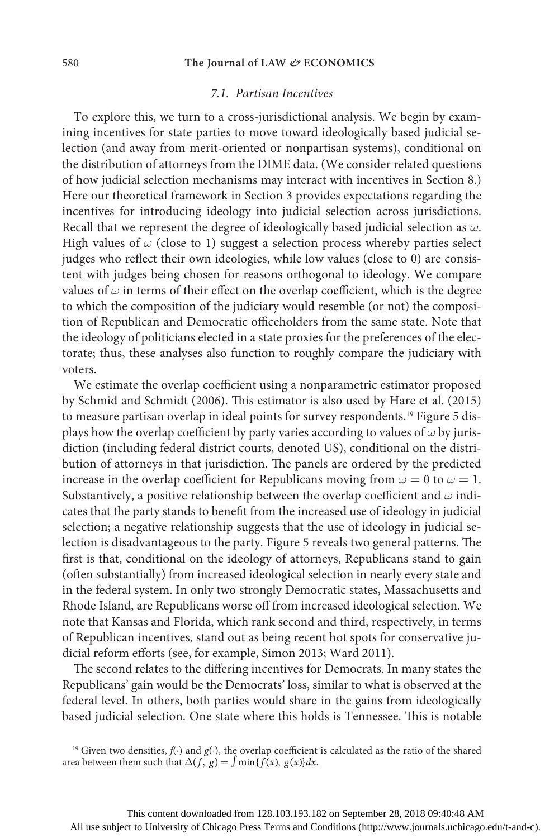#### 580 **The Journal of LAW**  $\mathcal{O}$  **<b>ECONOMICS**

#### *7.1. Partisan Incentives*

To explore this, we turn to a cross-jurisdictional analysis. We begin by examining incentives for state parties to move toward ideologically based judicial selection (and away from merit-oriented or nonpartisan systems), conditional on the distribution of attorneys from the DIME data. (We consider related questions of how judicial selection mechanisms may interact with incentives in Section 8.) Here our theoretical framework in Section 3 provides expectations regarding the incentives for introducing ideology into judicial selection across jurisdictions. Recall that we represent the degree of ideologically based judicial selection as *ω*. High values of *ω* (close to 1) suggest a selection process whereby parties select judges who reflect their own ideologies, while low values (close to 0) are consistent with judges being chosen for reasons orthogonal to ideology. We compare values of  $\omega$  in terms of their effect on the overlap coefficient, which is the degree to which the composition of the judiciary would resemble (or not) the composition of Republican and Democratic officeholders from the same state. Note that the ideology of politicians elected in a state proxies for the preferences of the electorate; thus, these analyses also function to roughly compare the judiciary with voters.

We estimate the overlap coefficient using a nonparametric estimator proposed by Schmid and Schmidt (2006). This estimator is also used by Hare et al. (2015) to measure partisan overlap in ideal points for survey respondents.19 Figure 5 displays how the overlap coefficient by party varies according to values of *ω* by jurisdiction (including federal district courts, denoted US), conditional on the distribution of attorneys in that jurisdiction. The panels are ordered by the predicted increase in the overlap coefficient for Republicans moving from  $\omega = 0$  to  $\omega = 1$ . Substantively, a positive relationship between the overlap coefficient and  $\omega$  indicates that the party stands to benefit from the increased use of ideology in judicial selection; a negative relationship suggests that the use of ideology in judicial selection is disadvantageous to the party. Figure 5 reveals two general patterns. The first is that, conditional on the ideology of attorneys, Republicans stand to gain (often substantially) from increased ideological selection in nearly every state and in the federal system. In only two strongly Democratic states, Massachusetts and Rhode Island, are Republicans worse off from increased ideological selection. We note that Kansas and Florida, which rank second and third, respectively, in terms of Republican incentives, stand out as being recent hot spots for conservative judicial reform efforts (see, for example, Simon 2013; Ward 2011).

The second relates to the differing incentives for Democrats. In many states the Republicans' gain would be the Democrats' loss, similar to what is observed at the federal level. In others, both parties would share in the gains from ideologically based judicial selection. One state where this holds is Tennessee. This is notable

<sup>19</sup> Given two densities, *f*(⋅) and *g*(⋅), the overlap coefficient is calculated as the ratio of the shared area between them such that  $\Delta(f, g) = \int \min\{f(x), g(x)\} dx$ .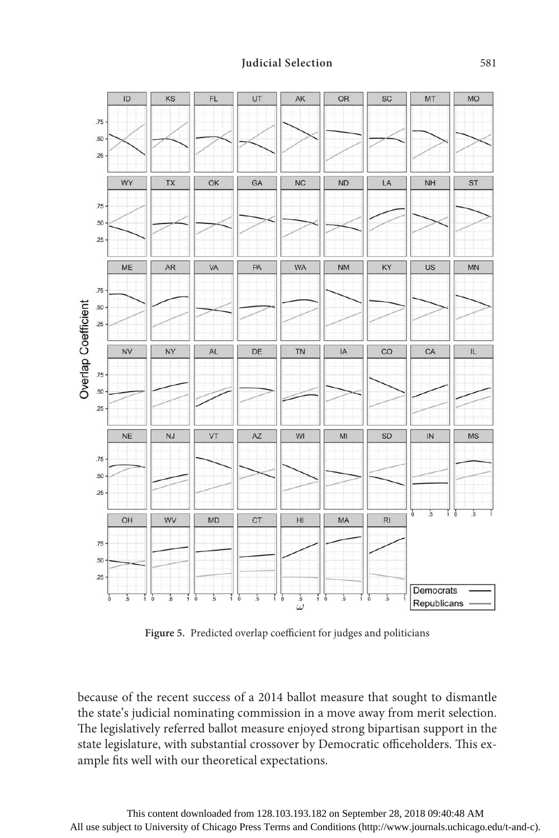#### **Judicial Selection** 581



**Figure 5.** Predicted overlap coefficient for judges and politicians

because of the recent success of a 2014 ballot measure that sought to dismantle the state's judicial nominating commission in a move away from merit selection. The legislatively referred ballot measure enjoyed strong bipartisan support in the state legislature, with substantial crossover by Democratic officeholders. This example fits well with our theoretical expectations.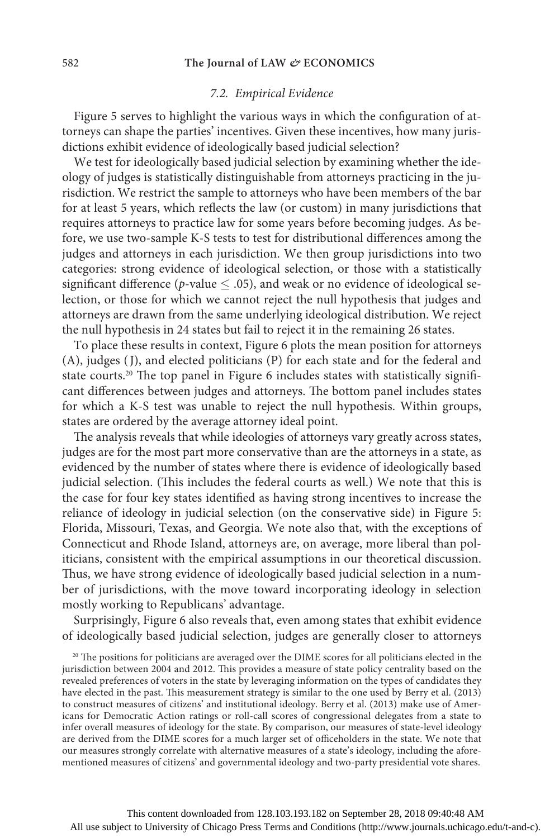## 582 **The Journal of LAW** *&* **ECONOMICS**

## *7.2. Empirical Evidence*

Figure 5 serves to highlight the various ways in which the configuration of attorneys can shape the parties' incentives. Given these incentives, how many jurisdictions exhibit evidence of ideologically based judicial selection?

We test for ideologically based judicial selection by examining whether the ideology of judges is statistically distinguishable from attorneys practicing in the jurisdiction. We restrict the sample to attorneys who have been members of the bar for at least 5 years, which reflects the law (or custom) in many jurisdictions that requires attorneys to practice law for some years before becoming judges. As before, we use two-sample K-S tests to test for distributional differences among the judges and attorneys in each jurisdiction. We then group jurisdictions into two categories: strong evidence of ideological selection, or those with a statistically significant difference ( $p$ -value  $\leq$  .05), and weak or no evidence of ideological selection, or those for which we cannot reject the null hypothesis that judges and attorneys are drawn from the same underlying ideological distribution. We reject the null hypothesis in 24 states but fail to reject it in the remaining 26 states.

To place these results in context, Figure 6 plots the mean position for attorneys (A), judges (J), and elected politicians (P) for each state and for the federal and state courts.<sup>20</sup> The top panel in Figure 6 includes states with statistically significant differences between judges and attorneys. The bottom panel includes states for which a K-S test was unable to reject the null hypothesis. Within groups, states are ordered by the average attorney ideal point.

The analysis reveals that while ideologies of attorneys vary greatly across states, judges are for the most part more conservative than are the attorneys in a state, as evidenced by the number of states where there is evidence of ideologically based judicial selection. (This includes the federal courts as well.) We note that this is the case for four key states identified as having strong incentives to increase the reliance of ideology in judicial selection (on the conservative side) in Figure 5: Florida, Missouri, Texas, and Georgia. We note also that, with the exceptions of Connecticut and Rhode Island, attorneys are, on average, more liberal than politicians, consistent with the empirical assumptions in our theoretical discussion. Thus, we have strong evidence of ideologically based judicial selection in a number of jurisdictions, with the move toward incorporating ideology in selection mostly working to Republicans' advantage.

Surprisingly, Figure 6 also reveals that, even among states that exhibit evidence of ideologically based judicial selection, judges are generally closer to attorneys

<sup>&</sup>lt;sup>20</sup> The positions for politicians are averaged over the DIME scores for all politicians elected in the jurisdiction between 2004 and 2012. This provides a measure of state policy centrality based on the revealed preferences of voters in the state by leveraging information on the types of candidates they have elected in the past. This measurement strategy is similar to the one used by Berry et al. (2013) to construct measures of citizens' and institutional ideology. Berry et al. (2013) make use of Americans for Democratic Action ratings or roll-call scores of congressional delegates from a state to infer overall measures of ideology for the state. By comparison, our measures of state-level ideology are derived from the DIME scores for a much larger set of officeholders in the state. We note that our measures strongly correlate with alternative measures of a state's ideology, including the aforementioned measures of citizens' and governmental ideology and two-party presidential vote shares.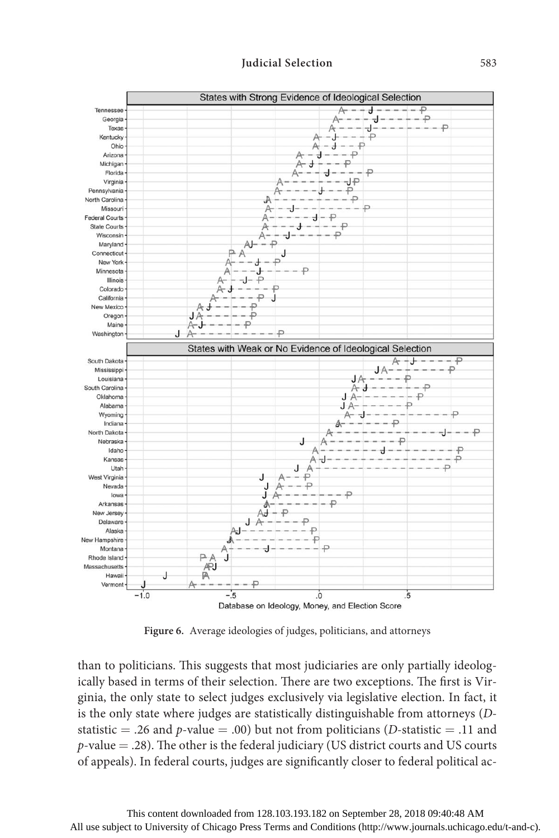

**Figure 6.** Average ideologies of judges, politicians, and attorneys

than to politicians. This suggests that most judiciaries are only partially ideologically based in terms of their selection. There are two exceptions. The first is Virginia, the only state to select judges exclusively via legislative election. In fact, it is the only state where judges are statistically distinguishable from attorneys (*D*statistic = .26 and  $p$ -value = .00) but not from politicians (*D*-statistic = .11 and *p*-value = .28). The other is the federal judiciary (US district courts and US courts of appeals). In federal courts, judges are significantly closer to federal political ac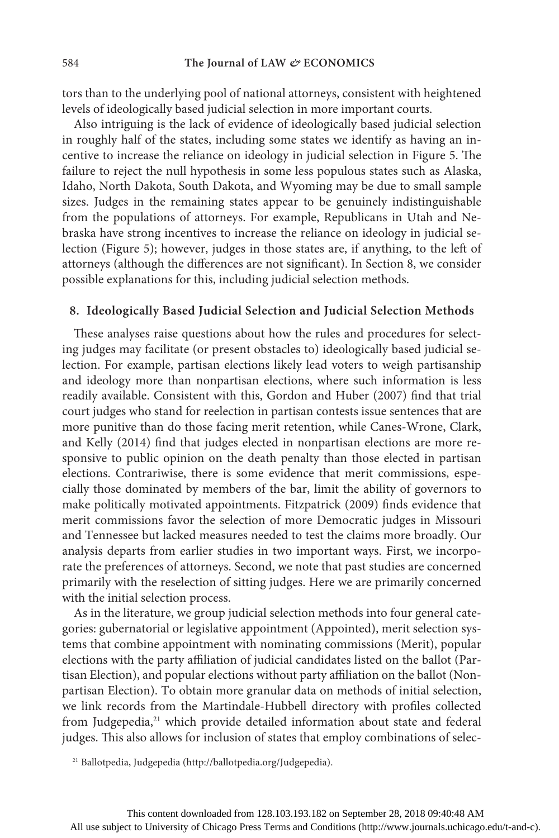tors than to the underlying pool of national attorneys, consistent with heightened levels of ideologically based judicial selection in more important courts.

Also intriguing is the lack of evidence of ideologically based judicial selection in roughly half of the states, including some states we identify as having an incentive to increase the reliance on ideology in judicial selection in Figure 5. The failure to reject the null hypothesis in some less populous states such as Alaska, Idaho, North Dakota, South Dakota, and Wyoming may be due to small sample sizes. Judges in the remaining states appear to be genuinely indistinguishable from the populations of attorneys. For example, Republicans in Utah and Nebraska have strong incentives to increase the reliance on ideology in judicial selection (Figure 5); however, judges in those states are, if anything, to the left of attorneys (although the differences are not significant). In Section 8, we consider possible explanations for this, including judicial selection methods.

#### **8. Ideologically Based Judicial Selection and Judicial Selection Methods**

These analyses raise questions about how the rules and procedures for selecting judges may facilitate (or present obstacles to) ideologically based judicial selection. For example, partisan elections likely lead voters to weigh partisanship and ideology more than nonpartisan elections, where such information is less readily available. Consistent with this, Gordon and Huber (2007) find that trial court judges who stand for reelection in partisan contests issue sentences that are more punitive than do those facing merit retention, while Canes-Wrone, Clark, and Kelly (2014) find that judges elected in nonpartisan elections are more responsive to public opinion on the death penalty than those elected in partisan elections. Contrariwise, there is some evidence that merit commissions, especially those dominated by members of the bar, limit the ability of governors to make politically motivated appointments. Fitzpatrick (2009) finds evidence that merit commissions favor the selection of more Democratic judges in Missouri and Tennessee but lacked measures needed to test the claims more broadly. Our analysis departs from earlier studies in two important ways. First, we incorporate the preferences of attorneys. Second, we note that past studies are concerned primarily with the reselection of sitting judges. Here we are primarily concerned with the initial selection process.

As in the literature, we group judicial selection methods into four general categories: gubernatorial or legislative appointment (Appointed), merit selection systems that combine appointment with nominating commissions (Merit), popular elections with the party affiliation of judicial candidates listed on the ballot (Partisan Election), and popular elections without party affiliation on the ballot (Nonpartisan Election). To obtain more granular data on methods of initial selection, we link records from the Martindale-Hubbell directory with profiles collected from Judgepedia,<sup>21</sup> which provide detailed information about state and federal judges. This also allows for inclusion of states that employ combinations of selec-

<sup>21</sup> Ballotpedia, Judgepedia ([http://ballotpedia.org/Judgepedia\)](http://ballotpedia.org/Judgepedia).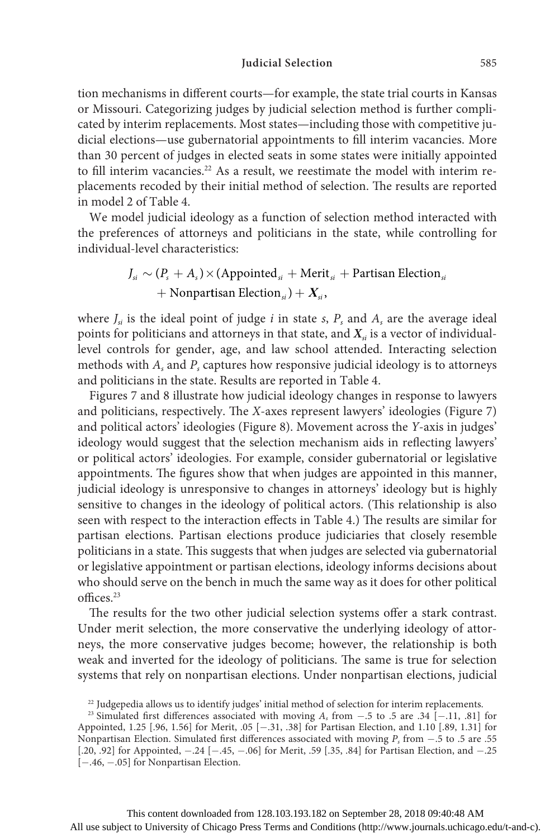tion mechanisms in different courts—for example, the state trial courts in Kansas or Missouri. Categorizing judges by judicial selection method is further complicated by interim replacements. Most states—including those with competitive judicial elections—use gubernatorial appointments to fill interim vacancies. More than 30 percent of judges in elected seats in some states were initially appointed to fill interim vacancies.<sup>22</sup> As a result, we reestimate the model with interim replacements recoded by their initial method of selection. The results are reported in model 2 of Table 4.

We model judicial ideology as a function of selection method interacted with the preferences of attorneys and politicians in the state, while controlling for individual-level characteristics:

$$
J_{si} \sim (P_s + A_s) \times (\text{Appointed}_{si} + \text{Merit}_{si} + \text{Partisan Electron}_{si} + \text{Nonpartisan Electronic}_{si}) + X_{si},
$$

where  $J_{si}$  is the ideal point of judge *i* in state *s*,  $P_s$  and  $A_s$  are the average ideal points for politicians and attorneys in that state, and  $X_a$  is a vector of individuallevel controls for gender, age, and law school attended. Interacting selection methods with  $A_s$  and  $P_s$  captures how responsive judicial ideology is to attorneys and politicians in the state. Results are reported in Table 4.

Figures 7 and 8 illustrate how judicial ideology changes in response to lawyers and politicians, respectively. The *X*-axes represent lawyers' ideologies (Figure 7) and political actors' ideologies (Figure 8). Movement across the *Y*-axis in judges' ideology would suggest that the selection mechanism aids in reflecting lawyers' or political actors' ideologies. For example, consider gubernatorial or legislative appointments. The figures show that when judges are appointed in this manner, judicial ideology is unresponsive to changes in attorneys' ideology but is highly sensitive to changes in the ideology of political actors. (This relationship is also seen with respect to the interaction effects in Table 4.) The results are similar for partisan elections. Partisan elections produce judiciaries that closely resemble politicians in a state. This suggests that when judges are selected via gubernatorial or legislative appointment or partisan elections, ideology informs decisions about who should serve on the bench in much the same way as it does for other political offices.23

The results for the two other judicial selection systems offer a stark contrast. Under merit selection, the more conservative the underlying ideology of attorneys, the more conservative judges become; however, the relationship is both weak and inverted for the ideology of politicians. The same is true for selection systems that rely on nonpartisan elections. Under nonpartisan elections, judicial

<sup>22</sup> Judgepedia allows us to identify judges' initial method of selection for interim replacements.

<sup>&</sup>lt;sup>23</sup> Simulated first differences associated with moving *A<sub>s</sub>* from −.5 to .5 are .34 [−.11, .81] for Appointed, 1.25 [.96, 1.56] for Merit, .05 [−.31, .38] for Partisan Election, and 1.10 [.89, 1.31] for Nonpartisan Election. Simulated first differences associated with moving *Ps* from −.5 to .5 are .55 [.20, .92] for Appointed, −.24 [−.45, −.06] for Merit, .59 [.35, .84] for Partisan Election, and −.25 [−.46, −.05] for Nonpartisan Election.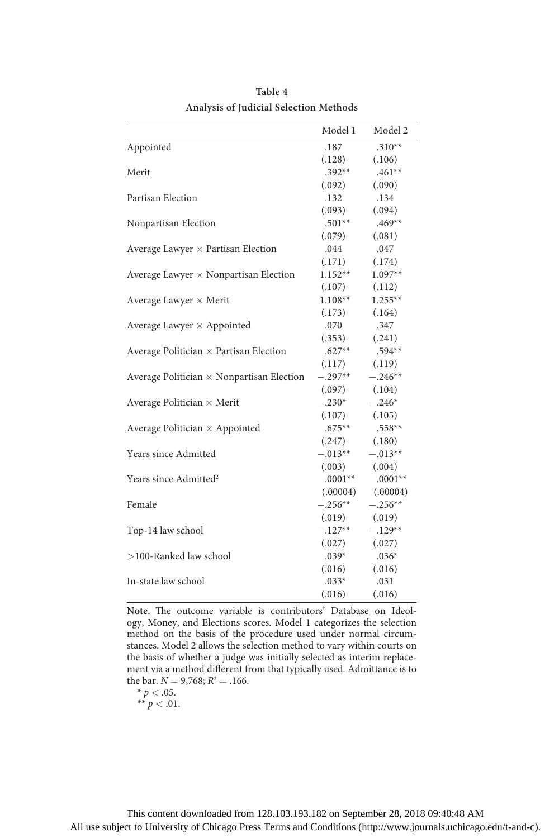|                                                  | Model 1   | Model 2   |
|--------------------------------------------------|-----------|-----------|
| Appointed                                        | .187      | $.310**$  |
|                                                  | (.128)    | (.106)    |
| Merit                                            | $.392**$  | $.461**$  |
|                                                  | (.092)    | (.090)    |
| Partisan Election                                | .132      | .134      |
|                                                  | (.093)    | (.094)    |
| Nonpartisan Election                             | $.501**$  | $.469**$  |
|                                                  | (.079)    | (.081)    |
| Average Lawyer $\times$ Partisan Election        | .044      | .047      |
|                                                  | (.171)    | (.174)    |
| Average Lawyer $\times$ Nonpartisan Election     | $1.152**$ | $1.097**$ |
|                                                  | (.107)    | (.112)    |
| Average Lawyer $\times$ Merit                    | $1.108**$ | $1.255**$ |
|                                                  | (.173)    | (.164)    |
| Average Lawyer $\times$ Appointed                | .070      | .347      |
|                                                  | (.353)    | (.241)    |
| Average Politician $\times$ Partisan Election    | $.627**$  | $.594**$  |
|                                                  | (.117)    | (.119)    |
| Average Politician $\times$ Nonpartisan Election | $-.297**$ | $-.246**$ |
|                                                  | (.097)    | (.104)    |
| Average Politician $\times$ Merit                | $-.230*$  | $-.246*$  |
|                                                  | (.107)    | (.105)    |
| Average Politician $\times$ Appointed            | $.675**$  | $.558**$  |
|                                                  | (.247)    | (.180)    |
| Years since Admitted                             | $-.013**$ | $-.013**$ |
|                                                  | (.003)    | (.004)    |
| Years since Admitted <sup>2</sup>                | $.0001**$ | $.0001**$ |
|                                                  | (.00004)  | (.00004)  |
| Female                                           | $-.256**$ | $-.256**$ |
|                                                  | (.019)    | (.019)    |
| Top-14 law school                                | $-.127**$ | $-.129**$ |
|                                                  | (.027)    | (.027)    |
| >100-Ranked law school                           | $.039*$   | $.036*$   |
|                                                  | (.016)    | (.016)    |
| In-state law school                              | $.033*$   | .031      |
|                                                  | (.016)    | (.016)    |

**Table 4 Analysis of Judicial Selection Methods**

**Note.** The outcome variable is contributors' Database on Ideology, Money, and Elections scores. Model 1 categorizes the selection method on the basis of the procedure used under normal circumstances. Model 2 allows the selection method to vary within courts on the basis of whether a judge was initially selected as interim replacement via a method different from that typically used. Admittance is to the bar.  $N = 9,768; R^2 = .166$ .

 $* p < .05$ .

 $** p < .01$ .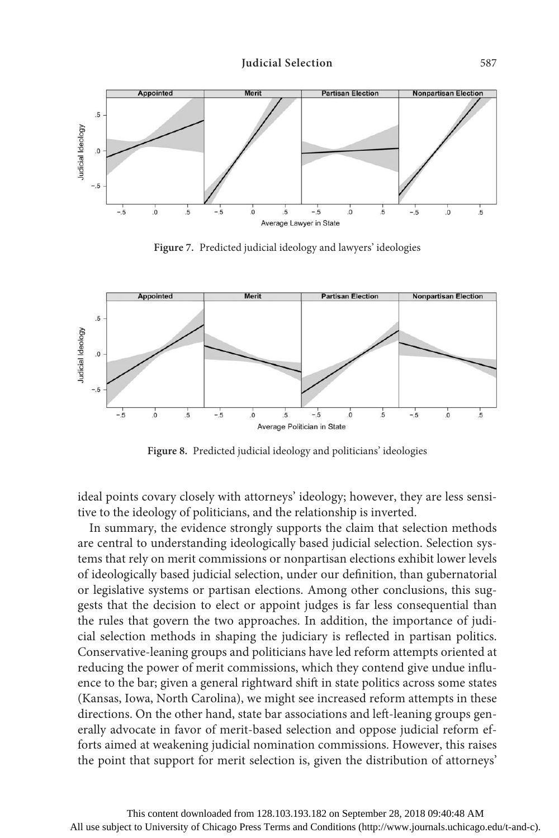

**Figure 7.** Predicted judicial ideology and lawyers' ideologies



**Figure 8.** Predicted judicial ideology and politicians' ideologies

ideal points covary closely with attorneys' ideology; however, they are less sensitive to the ideology of politicians, and the relationship is inverted.

In summary, the evidence strongly supports the claim that selection methods are central to understanding ideologically based judicial selection. Selection systems that rely on merit commissions or nonpartisan elections exhibit lower levels of ideologically based judicial selection, under our definition, than gubernatorial or legislative systems or partisan elections. Among other conclusions, this suggests that the decision to elect or appoint judges is far less consequential than the rules that govern the two approaches. In addition, the importance of judicial selection methods in shaping the judiciary is reflected in partisan politics. Conservative-leaning groups and politicians have led reform attempts oriented at reducing the power of merit commissions, which they contend give undue influence to the bar; given a general rightward shift in state politics across some states (Kansas, Iowa, North Carolina), we might see increased reform attempts in these directions. On the other hand, state bar associations and left-leaning groups generally advocate in favor of merit-based selection and oppose judicial reform efforts aimed at weakening judicial nomination commissions. However, this raises the point that support for merit selection is, given the distribution of attorneys'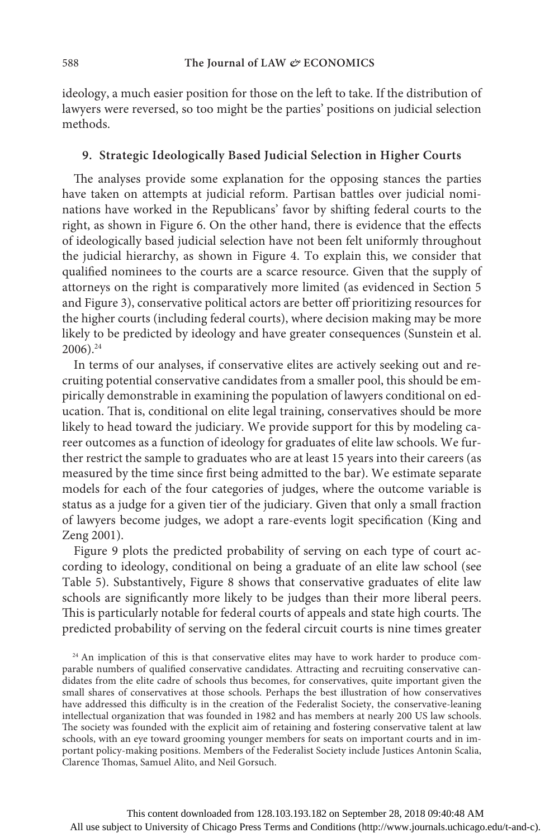ideology, a much easier position for those on the left to take. If the distribution of lawyers were reversed, so too might be the parties' positions on judicial selection methods.

# **9. Strategic Ideologically Based Judicial Selection in Higher Courts**

The analyses provide some explanation for the opposing stances the parties have taken on attempts at judicial reform. Partisan battles over judicial nominations have worked in the Republicans' favor by shifting federal courts to the right, as shown in Figure 6. On the other hand, there is evidence that the effects of ideologically based judicial selection have not been felt uniformly throughout the judicial hierarchy, as shown in Figure 4. To explain this, we consider that qualified nominees to the courts are a scarce resource. Given that the supply of attorneys on the right is comparatively more limited (as evidenced in Section 5 and Figure 3), conservative political actors are better off prioritizing resources for the higher courts (including federal courts), where decision making may be more likely to be predicted by ideology and have greater consequences (Sunstein et al.  $2006$ ).<sup>24</sup>

In terms of our analyses, if conservative elites are actively seeking out and recruiting potential conservative candidates from a smaller pool, this should be empirically demonstrable in examining the population of lawyers conditional on education. That is, conditional on elite legal training, conservatives should be more likely to head toward the judiciary. We provide support for this by modeling career outcomes as a function of ideology for graduates of elite law schools. We further restrict the sample to graduates who are at least 15 years into their careers (as measured by the time since first being admitted to the bar). We estimate separate models for each of the four categories of judges, where the outcome variable is status as a judge for a given tier of the judiciary. Given that only a small fraction of lawyers become judges, we adopt a rare-events logit specification (King and Zeng 2001).

Figure 9 plots the predicted probability of serving on each type of court according to ideology, conditional on being a graduate of an elite law school (see Table 5). Substantively, Figure 8 shows that conservative graduates of elite law schools are significantly more likely to be judges than their more liberal peers. This is particularly notable for federal courts of appeals and state high courts. The predicted probability of serving on the federal circuit courts is nine times greater

<sup>24</sup> An implication of this is that conservative elites may have to work harder to produce comparable numbers of qualified conservative candidates. Attracting and recruiting conservative candidates from the elite cadre of schools thus becomes, for conservatives, quite important given the small shares of conservatives at those schools. Perhaps the best illustration of how conservatives have addressed this difficulty is in the creation of the Federalist Society, the conservative-leaning intellectual organization that was founded in 1982 and has members at nearly 200 US law schools. The society was founded with the explicit aim of retaining and fostering conservative talent at law schools, with an eye toward grooming younger members for seats on important courts and in important policy-making positions. Members of the Federalist Society include Justices Antonin Scalia, Clarence Thomas, Samuel Alito, and Neil Gorsuch.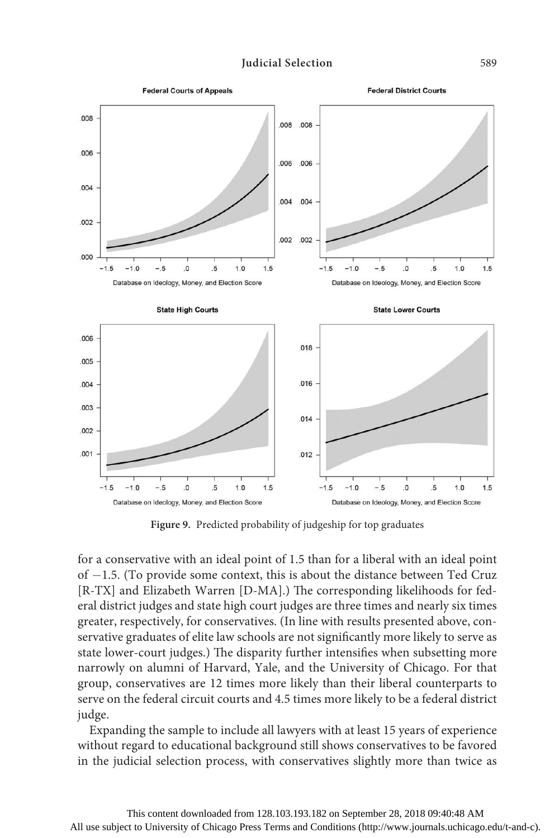

**Figure 9.** Predicted probability of judgeship for top graduates

for a conservative with an ideal point of 1.5 than for a liberal with an ideal point of −1.5. (To provide some context, this is about the distance between Ted Cruz [R-TX] and Elizabeth Warren [D-MA].) The corresponding likelihoods for federal district judges and state high court judges are three times and nearly six times greater, respectively, for conservatives. (In line with results presented above, conservative graduates of elite law schools are not significantly more likely to serve as state lower-court judges.) The disparity further intensifies when subsetting more narrowly on alumni of Harvard, Yale, and the University of Chicago. For that group, conservatives are 12 times more likely than their liberal counterparts to serve on the federal circuit courts and 4.5 times more likely to be a federal district judge.

Expanding the sample to include all lawyers with at least 15 years of experience without regard to educational background still shows conservatives to be favored in the judicial selection process, with conservatives slightly more than twice as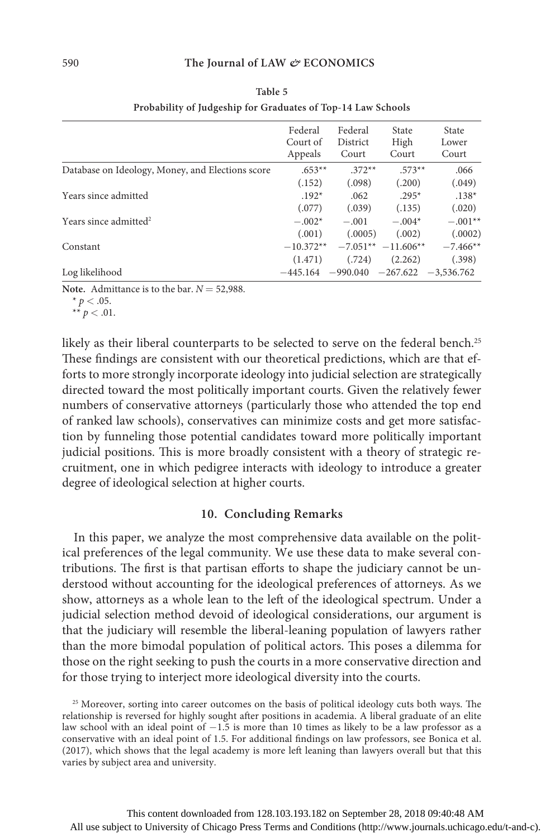| Probability of Judgeship for Graduates of 10p-14 Law Schools |                                |                              |                               |                         |
|--------------------------------------------------------------|--------------------------------|------------------------------|-------------------------------|-------------------------|
|                                                              | Federal<br>Court of<br>Appeals | Federal<br>District<br>Court | <b>State</b><br>High<br>Court | State<br>Lower<br>Court |
| Database on Ideology, Money, and Elections score             | $.653**$                       | $.372**$                     | $.573**$                      | .066                    |
|                                                              | (.152)                         | (.098)                       | (.200)                        | (.049)                  |
| Years since admitted                                         | $.192*$                        | .062                         | $.295*$                       | $.138*$                 |
|                                                              | (.077)                         | (.039)                       | (.135)                        | (.020)                  |
| Years since admitted <sup>2</sup>                            | $-.002*$                       | $-.001$                      | $-.004*$                      | $-.001**$               |
|                                                              | (.001)                         | (.0005)                      | (.002)                        | (.0002)                 |
| Constant                                                     | $-10.372**$                    |                              | $-7.051** -11.606**$          | $-7.466**$              |
|                                                              | (1.471)                        | (.724)                       | (2.262)                       | (.398)                  |
| Log likelihood                                               | $-445.164$                     | $-990.040 -267.622$          |                               | $-3,536,762$            |
|                                                              |                                |                              |                               |                         |

| Table 5                                                      |
|--------------------------------------------------------------|
| Probability of Judgeship for Graduates of Top-14 Law Schools |

**Note.** Admittance is to the bar. *N* = 52,988.

\*\*  $p < .01$ .

likely as their liberal counterparts to be selected to serve on the federal bench.<sup>25</sup> These findings are consistent with our theoretical predictions, which are that efforts to more strongly incorporate ideology into judicial selection are strategically directed toward the most politically important courts. Given the relatively fewer numbers of conservative attorneys (particularly those who attended the top end of ranked law schools), conservatives can minimize costs and get more satisfaction by funneling those potential candidates toward more politically important judicial positions. This is more broadly consistent with a theory of strategic recruitment, one in which pedigree interacts with ideology to introduce a greater degree of ideological selection at higher courts.

# **10. Concluding Remarks**

In this paper, we analyze the most comprehensive data available on the political preferences of the legal community. We use these data to make several contributions. The first is that partisan efforts to shape the judiciary cannot be understood without accounting for the ideological preferences of attorneys. As we show, attorneys as a whole lean to the left of the ideological spectrum. Under a judicial selection method devoid of ideological considerations, our argument is that the judiciary will resemble the liberal-leaning population of lawyers rather than the more bimodal population of political actors. This poses a dilemma for those on the right seeking to push the courts in a more conservative direction and for those trying to interject more ideological diversity into the courts.

 $* p < .05.$ 

 $25$  Moreover, sorting into career outcomes on the basis of political ideology cuts both ways. The relationship is reversed for highly sought after positions in academia. A liberal graduate of an elite law school with an ideal point of −1.5 is more than 10 times as likely to be a law professor as a conservative with an ideal point of 1.5. For additional findings on law professors, see Bonica et al. (2017), which shows that the legal academy is more left leaning than lawyers overall but that this varies by subject area and university.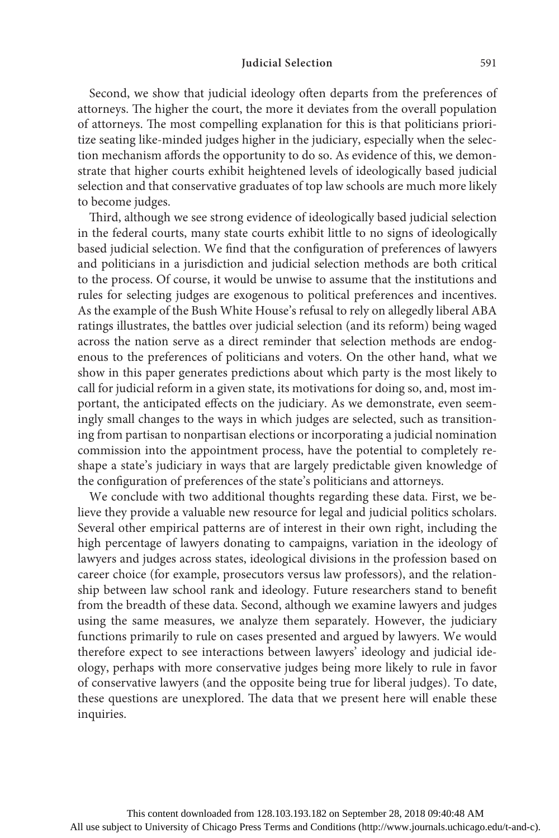## **Judicial Selection** 591

Second, we show that judicial ideology often departs from the preferences of attorneys. The higher the court, the more it deviates from the overall population of attorneys. The most compelling explanation for this is that politicians prioritize seating like-minded judges higher in the judiciary, especially when the selection mechanism affords the opportunity to do so. As evidence of this, we demonstrate that higher courts exhibit heightened levels of ideologically based judicial selection and that conservative graduates of top law schools are much more likely to become judges.

Third, although we see strong evidence of ideologically based judicial selection in the federal courts, many state courts exhibit little to no signs of ideologically based judicial selection. We find that the configuration of preferences of lawyers and politicians in a jurisdiction and judicial selection methods are both critical to the process. Of course, it would be unwise to assume that the institutions and rules for selecting judges are exogenous to political preferences and incentives. As the example of the Bush White House's refusal to rely on allegedly liberal ABA ratings illustrates, the battles over judicial selection (and its reform) being waged across the nation serve as a direct reminder that selection methods are endogenous to the preferences of politicians and voters. On the other hand, what we show in this paper generates predictions about which party is the most likely to call for judicial reform in a given state, its motivations for doing so, and, most important, the anticipated effects on the judiciary. As we demonstrate, even seemingly small changes to the ways in which judges are selected, such as transitioning from partisan to nonpartisan elections or incorporating a judicial nomination commission into the appointment process, have the potential to completely reshape a state's judiciary in ways that are largely predictable given knowledge of the configuration of preferences of the state's politicians and attorneys.

We conclude with two additional thoughts regarding these data. First, we believe they provide a valuable new resource for legal and judicial politics scholars. Several other empirical patterns are of interest in their own right, including the high percentage of lawyers donating to campaigns, variation in the ideology of lawyers and judges across states, ideological divisions in the profession based on career choice (for example, prosecutors versus law professors), and the relationship between law school rank and ideology. Future researchers stand to benefit from the breadth of these data. Second, although we examine lawyers and judges using the same measures, we analyze them separately. However, the judiciary functions primarily to rule on cases presented and argued by lawyers. We would therefore expect to see interactions between lawyers' ideology and judicial ideology, perhaps with more conservative judges being more likely to rule in favor of conservative lawyers (and the opposite being true for liberal judges). To date, these questions are unexplored. The data that we present here will enable these inquiries.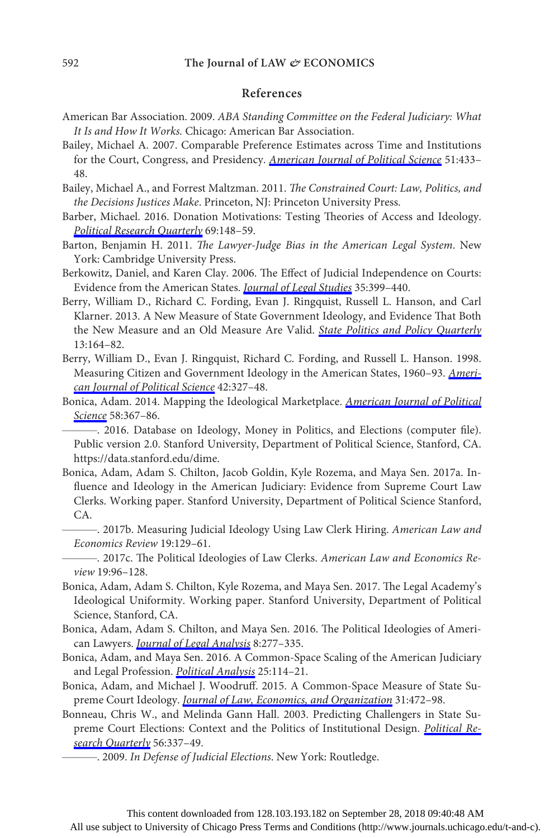#### **References**

- American Bar Association. 2009. *ABA Standing Committee on the Federal Judiciary: What It Is and How It Works.* Chicago: American Bar Association.
- Bailey, Michael A. 2007. Comparable Preference Estimates across Time and Institutions for the Court, Congress, and Presidency. *[American Journal of Political Science](https://www.journals.uchicago.edu/action/showLinks?doi=10.1086%2F696575&crossref=10.1111%2Fj.1540-5907.2007.00260.x&citationId=p_33)* 51:433– 48.
- Bailey, Michael A., and Forrest Maltzman. 2011. *The Constrained Court: Law, Politics, and the Decisions Justices Make*. Princeton, NJ: Princeton University Press.
- Barber, Michael. 2016. Donation Motivations: Testing Theories of Access and Ideology. *[Political Research Quarterly](https://www.journals.uchicago.edu/action/showLinks?doi=10.1086%2F696575&crossref=10.1177%2F1065912915624164&citationId=p_35)* 69:148–59.
- Barton, Benjamin H. 2011. *The Lawyer-Judge Bias in the American Legal System*. New York: Cambridge University Press.
- Berkowitz, Daniel, and Karen Clay. 2006. The Effect of Judicial Independence on Courts: Evidence from the American States. *[Journal of Legal Studies](https://www.journals.uchicago.edu/action/showLinks?doi=10.1086%2F696575&system=10.1086%2F505052&citationId=p_37)* 35:399–440.
- Berry, William D., Richard C. Fording, Evan J. Ringquist, Russell L. Hanson, and Carl Klarner. 2013. A New Measure of State Government Ideology, and Evidence That Both the New Measure and an Old Measure Are Valid. *[State Politics and Policy Quarterly](https://www.journals.uchicago.edu/action/showLinks?doi=10.1086%2F696575&crossref=10.1177%2F1532440012464877&citationId=p_38)* 13:164–82.
- Berry, William D., Evan J. Ringquist, Richard C. Fording, and Russell L. Hanson. 1998. Measuring Citizen and Government Ideology in the American States, 1960–93. *[Ameri](https://www.journals.uchicago.edu/action/showLinks?doi=10.1086%2F696575&crossref=10.2307%2F2991759&citationId=p_39)[can Journal of Political Science](https://www.journals.uchicago.edu/action/showLinks?doi=10.1086%2F696575&crossref=10.2307%2F2991759&citationId=p_39)* 42:327–48.
- Bonica, Adam. 2014. Mapping the Ideological Marketplace. *[American Journal of Political](https://www.journals.uchicago.edu/action/showLinks?doi=10.1086%2F696575&crossref=10.1111%2Fajps.12062&citationId=p_40) [Science](https://www.journals.uchicago.edu/action/showLinks?doi=10.1086%2F696575&crossref=10.1111%2Fajps.12062&citationId=p_40)* 58:367–86.

———. 2016. Database on Ideology, Money in Politics, and Elections (computer file). Public version 2.0. Stanford University, Department of Political Science, Stanford, CA. [https://data.stanford.edu/dime.](https://data.stanford.edu/dime)

- Bonica, Adam, Adam S. Chilton, Jacob Goldin, Kyle Rozema, and Maya Sen. 2017a. Influence and Ideology in the American Judiciary: Evidence from Supreme Court Law Clerks. Working paper. Stanford University, Department of Political Science Stanford, CA.
	- ———. 2017b. Measuring Judicial Ideology Using Law Clerk Hiring. *American Law and Economics Review* 19:129–61.
- ———. 2017c. The Political Ideologies of Law Clerks. *American Law and Economics Review* 19:96–128.
- Bonica, Adam, Adam S. Chilton, Kyle Rozema, and Maya Sen. 2017. The Legal Academy's Ideological Uniformity. Working paper. Stanford University, Department of Political Science, Stanford, CA.
- Bonica, Adam, Adam S. Chilton, and Maya Sen. 2016. The Political Ideologies of American Lawyers. *[Journal of Legal Analysis](https://www.journals.uchicago.edu/action/showLinks?doi=10.1086%2F696575&crossref=10.1093%2Fjla%2Flav011&citationId=p_46)* 8:277–335.
- Bonica, Adam, and Maya Sen. 2016. A Common-Space Scaling of the American Judiciary and Legal Profession. *[Political Analysis](https://www.journals.uchicago.edu/action/showLinks?doi=10.1086%2F696575&crossref=10.1017%2Fpan.2016.10&citationId=p_47)* 25:114–21.
- Bonica, Adam, and Michael J. Woodruff. 2015. A Common-Space Measure of State Supreme Court Ideology. *[Journal of Law, Economics, and Organization](https://www.journals.uchicago.edu/action/showLinks?doi=10.1086%2F696575&crossref=10.1093%2Fjleo%2Fewu016&citationId=p_48)* 31:472–98.
- Bonneau, Chris W., and Melinda Gann Hall. 2003. Predicting Challengers in State Supreme Court Elections: Context and the Politics of Institutional Design. *[Political Re](https://www.journals.uchicago.edu/action/showLinks?doi=10.1086%2F696575&crossref=10.1177%2F106591290305600308&citationId=p_49)[search Quarterly](https://www.journals.uchicago.edu/action/showLinks?doi=10.1086%2F696575&crossref=10.1177%2F106591290305600308&citationId=p_49)* 56:337–49.

<sup>———</sup>. 2009. *In Defense of Judicial Elections*. New York: Routledge.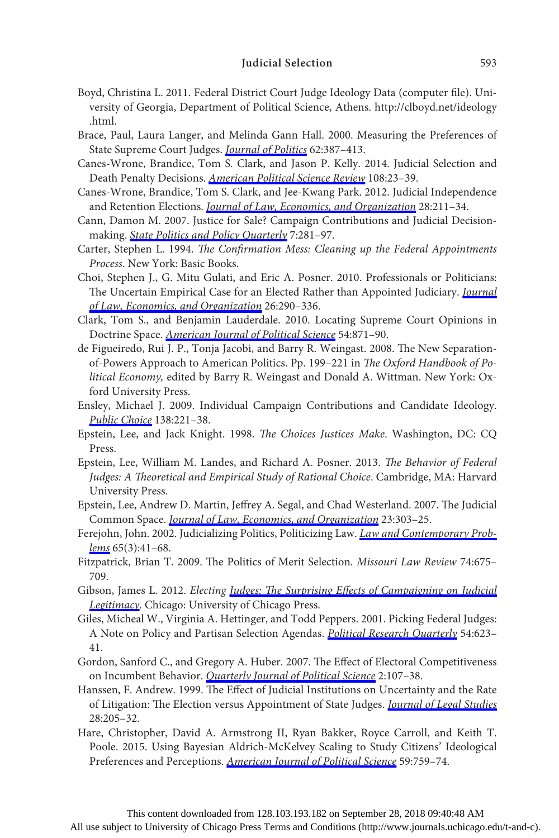- Boyd, Christina L. 2011. Federal District Court Judge Ideology Data (computer file). University of Georgia, Department of Political Science, Athens. [http://clboyd.net/ideology](http://clboyd.net/ideology.html) [.html](http://clboyd.net/ideology.html).
- Brace, Paul, Laura Langer, and Melinda Gann Hall. 2000. Measuring the Preferences of State Supreme Court Judges. *[Journal of Politics](https://www.journals.uchicago.edu/action/showLinks?doi=10.1086%2F696575&system=10.1111%2F0022-3816.00018&citationId=p_52)* 62:387–413.
- Canes-Wrone, Brandice, Tom S. Clark, and Jason P. Kelly. 2014. Judicial Selection and Death Penalty Decisions. *[American Political Science Review](https://www.journals.uchicago.edu/action/showLinks?doi=10.1086%2F696575&crossref=10.1017%2FS0003055413000622&citationId=p_53)* 108:23–39.
- Canes-Wrone, Brandice, Tom S. Clark, and Jee-Kwang Park. 2012. Judicial Independence and Retention Elections. *[Journal of Law, Economics, and Organization](https://www.journals.uchicago.edu/action/showLinks?doi=10.1086%2F696575&crossref=10.1093%2Fjleo%2Fewq009&citationId=p_54)* 28:211–34.
- Cann, Damon M. 2007. Justice for Sale? Campaign Contributions and Judicial Decisionmaking. *[State Politics and Policy Quarterly](https://www.journals.uchicago.edu/action/showLinks?doi=10.1086%2F696575&crossref=10.1177%2F153244000700700303&citationId=p_55)* 7:281–97.
- Carter, Stephen L. 1994. *The Confirmation Mess: Cleaning up the Federal Appointments Process*. New York: Basic Books.
- Choi, Stephen J., G. Mitu Gulati, and Eric A. Posner. 2010. Professionals or Politicians: The Uncertain Empirical Case for an Elected Rather than Appointed Judiciary. *[Journal](https://www.journals.uchicago.edu/action/showLinks?doi=10.1086%2F696575&crossref=10.1093%2Fjleo%2Fewn023&citationId=p_57) [of Law, Economics, and Organization](https://www.journals.uchicago.edu/action/showLinks?doi=10.1086%2F696575&crossref=10.1093%2Fjleo%2Fewn023&citationId=p_57)* 26:290–336.
- Clark, Tom S., and Benjamin Lauderdale. 2010. Locating Supreme Court Opinions in Doctrine Space. *[American Journal of Political Science](https://www.journals.uchicago.edu/action/showLinks?doi=10.1086%2F696575&crossref=10.1111%2Fj.1540-5907.2010.00470.x&citationId=p_58)* 54:871–90.
- de Figueiredo, Rui J. P., Tonja Jacobi, and Barry R. Weingast. 2008. The New Separationof-Powers Approach to American Politics. Pp. 199–221 in *The Oxford Handbook of Political Economy,* edited by Barry R. Weingast and Donald A. Wittman. New York: Oxford University Press.
- Ensley, Michael J. 2009. Individual Campaign Contributions and Candidate Ideology. *[Public Choice](https://www.journals.uchicago.edu/action/showLinks?doi=10.1086%2F696575&crossref=10.1007%2Fs11127-008-9350-6&citationId=p_60)* 138:221–38.
- Epstein, Lee, and Jack Knight. 1998. *The Choices Justices Make*. Washington, DC: CQ Press.
- Epstein, Lee, William M. Landes, and Richard A. Posner. 2013. *The Behavior of Federal Judges: A Theoretical and Empirical Study of Rational Choice*. Cambridge, MA: Harvard University Press.
- Epstein, Lee, Andrew D. Martin, Jeffrey A. Segal, and Chad Westerland. 2007. The Judicial Common Space. *[Journal of Law, Economics, and Organization](https://www.journals.uchicago.edu/action/showLinks?doi=10.1086%2F696575&crossref=10.1093%2Fjleo%2Fewm024&citationId=p_63)* 23:303–25.
- Ferejohn, John. 2002. Judicializing Politics, Politicizing Law. *[Law and Contemporary Prob](https://www.journals.uchicago.edu/action/showLinks?doi=10.1086%2F696575&crossref=10.2307%2F1192402&citationId=p_64)[lems](https://www.journals.uchicago.edu/action/showLinks?doi=10.1086%2F696575&crossref=10.2307%2F1192402&citationId=p_64)* 65(3):41–68.
- Fitzpatrick, Brian T. 2009. The Politics of Merit Selection. *Missouri Law Review* 74:675– 709.
- Gibson, James L. 2012. *Electing [Judges: The Surprising Effects of Campaigning on Judicial](https://www.journals.uchicago.edu/action/showLinks?doi=10.1086%2F696575&crossref=10.7208%2Fchicago%2F9780226291109.001.0001&citationId=p_66) [Legitimacy](https://www.journals.uchicago.edu/action/showLinks?doi=10.1086%2F696575&crossref=10.7208%2Fchicago%2F9780226291109.001.0001&citationId=p_66)*. Chicago: University of Chicago Press.
- Giles, Micheal W., Virginia A. Hettinger, and Todd Peppers. 2001. Picking Federal Judges: A Note on Policy and Partisan Selection Agendas. *[Political Research Quarterly](https://www.journals.uchicago.edu/action/showLinks?doi=10.1086%2F696575&crossref=10.1177%2F106591290105400307&citationId=p_67)* 54:623– 41.
- Gordon, Sanford C., and Gregory A. Huber. 2007. The Effect of Electoral Competitiveness on Incumbent Behavior. *[Quarterly Journal of Political Science](https://www.journals.uchicago.edu/action/showLinks?doi=10.1086%2F696575&crossref=10.1561%2F100.00006035&citationId=p_68)* 2:107–38.
- Hanssen, F. Andrew. 1999. The Effect of Judicial Institutions on Uncertainty and the Rate of Litigation: The Election versus Appointment of State Judges. *[Journal of Legal Studies](https://www.journals.uchicago.edu/action/showLinks?doi=10.1086%2F696575&system=10.1086%2F468050&citationId=p_69)* 28:205–32.
- Hare, Christopher, David A. Armstrong II, Ryan Bakker, Royce Carroll, and Keith T. Poole. 2015. Using Bayesian Aldrich-McKelvey Scaling to Study Citizens' Ideological Preferences and Perceptions. *[American Journal of Political Science](https://www.journals.uchicago.edu/action/showLinks?doi=10.1086%2F696575&crossref=10.1111%2Fajps.12151&citationId=p_70)* 59:759–74.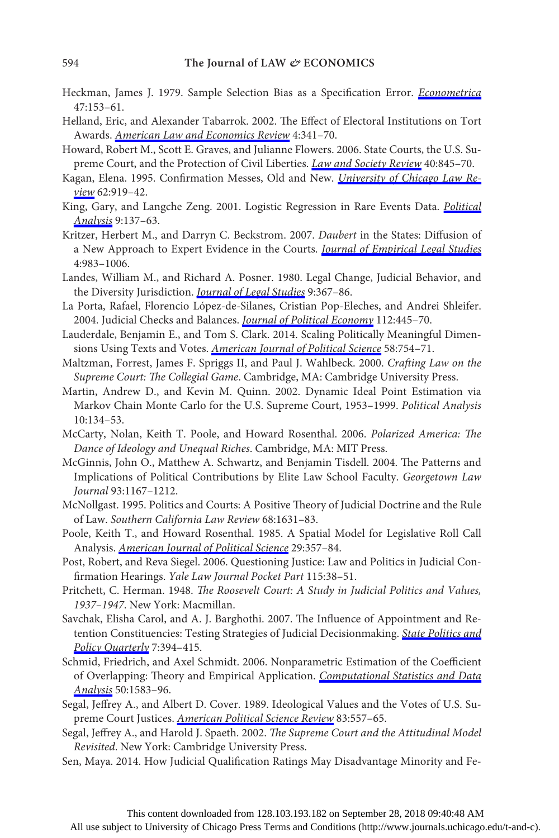- Heckman, James J. 1979. Sample Selection Bias as a Specification Error. *[Econometrica](https://www.journals.uchicago.edu/action/showLinks?doi=10.1086%2F696575&crossref=10.2307%2F1912352&citationId=p_71)* 47:153–61.
- Helland, Eric, and Alexander Tabarrok. 2002. The Effect of Electoral Institutions on Tort Awards. *[American Law and Economics Review](https://www.journals.uchicago.edu/action/showLinks?doi=10.1086%2F696575&crossref=10.1093%2Faler%2F4.2.341&citationId=p_72)* 4:341–70.
- Howard, Robert M., Scott E. Graves, and Julianne Flowers. 2006. State Courts, the U.S. Supreme Court, and the Protection of Civil Liberties. *[Law and Society Review](https://www.journals.uchicago.edu/action/showLinks?doi=10.1086%2F696575&crossref=10.1111%2Fj.1540-5893.2006.00283.x&citationId=p_73)* 40:845–70.
- Kagan, Elena. 1995. Confirmation Messes, Old and New. *[University of Chicago Law Re](https://www.journals.uchicago.edu/action/showLinks?doi=10.1086%2F696575&crossref=10.2307%2F1600153&citationId=p_74)[view](https://www.journals.uchicago.edu/action/showLinks?doi=10.1086%2F696575&crossref=10.2307%2F1600153&citationId=p_74)* 62:919–42.
- King, Gary, and Langche Zeng. 2001. Logistic Regression in Rare Events Data. *[Political](https://www.journals.uchicago.edu/action/showLinks?doi=10.1086%2F696575&crossref=10.1093%2Foxfordjournals.pan.a004868&citationId=p_75) [Analysis](https://www.journals.uchicago.edu/action/showLinks?doi=10.1086%2F696575&crossref=10.1093%2Foxfordjournals.pan.a004868&citationId=p_75)* 9:137–63.
- Kritzer, Herbert M., and Darryn C. Beckstrom. 2007. *Daubert* in the States: Diffusion of a New Approach to Expert Evidence in the Courts. *[Journal of Empirical Legal Studies](https://www.journals.uchicago.edu/action/showLinks?doi=10.1086%2F696575&crossref=10.1111%2Fj.1740-1461.2007.00112.x&citationId=p_76)* 4:983–1006.
- Landes, William M., and Richard A. Posner. 1980. Legal Change, Judicial Behavior, and the Diversity Jurisdiction. *[Journal of Legal Studies](https://www.journals.uchicago.edu/action/showLinks?doi=10.1086%2F696575&system=10.1086%2F467645&citationId=p_77)* 9:367–86.
- La Porta, Rafael, Florencio López-de-Silanes, Cristian Pop-Eleches, and Andrei Shleifer. 2004. Judicial Checks and Balances. *[Journal of Political Economy](https://www.journals.uchicago.edu/action/showLinks?doi=10.1086%2F696575&system=10.1086%2F381480&citationId=p_79)* 112:445–70.
- Lauderdale, Benjamin E., and Tom S. Clark. 2014. Scaling Politically Meaningful Dimensions Using Texts and Votes. *[American Journal of Political Science](https://www.journals.uchicago.edu/action/showLinks?doi=10.1086%2F696575&crossref=10.1111%2Fajps.12085&citationId=p_80)* 58:754–71.
- Maltzman, Forrest, James F. Spriggs II, and Paul J. Wahlbeck. 2000. *Crafting Law on the Supreme Court: The Collegial Game*. Cambridge, MA: Cambridge University Press.
- Martin, Andrew D., and Kevin M. Quinn. 2002. Dynamic Ideal Point Estimation via Markov Chain Monte Carlo for the U.S. Supreme Court, 1953–1999. *Political Analysis* 10:134–53.
- McCarty, Nolan, Keith T. Poole, and Howard Rosenthal. 2006. *Polarized America: The Dance of Ideology and Unequal Riches*. Cambridge, MA: MIT Press.
- McGinnis, John O., Matthew A. Schwartz, and Benjamin Tisdell. 2004. The Patterns and Implications of Political Contributions by Elite Law School Faculty. *Georgetown Law Journal* 93:1167–1212.
- McNollgast. 1995. Politics and Courts: A Positive Theory of Judicial Doctrine and the Rule of Law. *Southern California Law Review* 68:1631–83.
- Poole, Keith T., and Howard Rosenthal. 1985. A Spatial Model for Legislative Roll Call Analysis. *[American Journal of Political Science](https://www.journals.uchicago.edu/action/showLinks?doi=10.1086%2F696575&crossref=10.2307%2F2111172&citationId=p_86)* 29:357–84.
- Post, Robert, and Reva Siegel. 2006. Questioning Justice: Law and Politics in Judicial Confirmation Hearings. *Yale Law Journal Pocket Part* 115:38–51.
- Pritchett, C. Herman. 1948. *The Roosevelt Court: A Study in Judicial Politics and Values, 1937–1947*. New York: Macmillan.
- Savchak, Elisha Carol, and A. J. Barghothi. 2007. The Influence of Appointment and Retention Constituencies: Testing Strategies of Judicial Decisionmaking. *[State Politics and](https://www.journals.uchicago.edu/action/showLinks?doi=10.1086%2F696575&crossref=10.1177%2F153244000700700403&citationId=p_89)  [Policy Quarterly](https://www.journals.uchicago.edu/action/showLinks?doi=10.1086%2F696575&crossref=10.1177%2F153244000700700403&citationId=p_89)* 7:394–415.
- Schmid, Friedrich, and Axel Schmidt. 2006. Nonparametric Estimation of the Coefficient of Overlapping: Theory and Empirical Application. *[Computational Statistics and Data](https://www.journals.uchicago.edu/action/showLinks?doi=10.1086%2F696575&crossref=10.1016%2Fj.csda.2005.01.014&citationId=p_90) [Analysis](https://www.journals.uchicago.edu/action/showLinks?doi=10.1086%2F696575&crossref=10.1016%2Fj.csda.2005.01.014&citationId=p_90)* 50:1583–96.
- Segal, Jeffrey A., and Albert D. Cover. 1989. Ideological Values and the Votes of U.S. Supreme Court Justices. *[American Political Science Review](https://www.journals.uchicago.edu/action/showLinks?doi=10.1086%2F696575&crossref=10.2307%2F1962405&citationId=p_91)* 83:557–65.
- Segal, Jeffrey A., and Harold J. Spaeth. 2002. *The Supreme Court and the Attitudinal Model Revisited*. New York: Cambridge University Press.
- Sen, Maya. 2014. How Judicial Qualification Ratings May Disadvantage Minority and Fe-